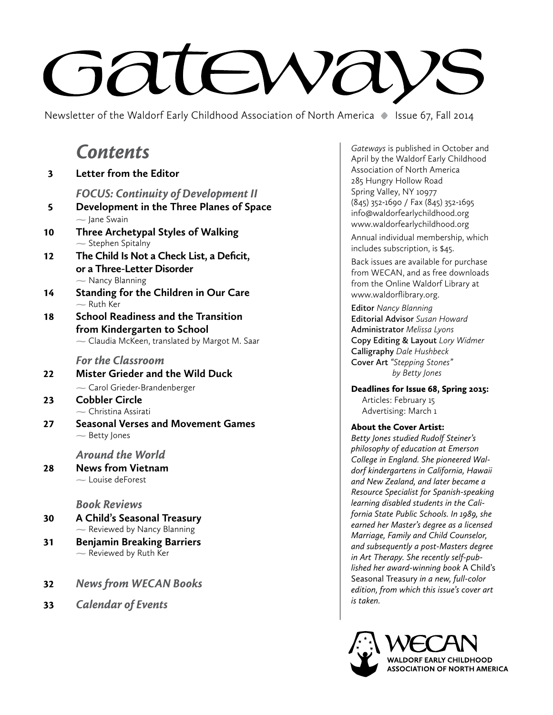# **Sateway**

Newsletter of the Waldorf Early Childhood Association of North America **•** Issue 67, Fall 2014

# *Contents*

| 3  | Letter from the Editor                                                                                                           |
|----|----------------------------------------------------------------------------------------------------------------------------------|
| 5  | <b>FOCUS: Continuity of Development II</b><br>Development in the Three Planes of Space<br>$\sim$ Jane Swain                      |
| 10 | Three Archetypal Styles of Walking<br>$\sim$ Stephen Spitalny                                                                    |
| 12 | The Child Is Not a Check List, a Deficit,<br>or a Three-Letter Disorder<br>$\sim$ Nancy Blanning                                 |
| 14 | <b>Standing for the Children in Our Care</b><br>$\sim$ Ruth Ker                                                                  |
| 18 | <b>School Readiness and the Transition</b><br>from Kindergarten to School<br>$\sim$ Claudia McKeen, translated by Margot M. Saar |
|    | <b>For the Classroom</b>                                                                                                         |
| 22 | <b>Mister Grieder and the Wild Duck</b><br>$\sim$ Carol Grieder-Brandenberger                                                    |
| 23 | <b>Cobbler Circle</b><br>$\sim$ Christina Assirati                                                                               |
| 27 | <b>Seasonal Verses and Movement Games</b><br>$\sim$ Betty Jones                                                                  |

#### *Around the World*

28 **News from Vietnam**  $\sim$  Louise deForest

### *Book Reviews*

- 30 **A Child's Seasonal Treasury**  $\sim$  Reviewed by Nancy Blanning
- 31 **Benjamin Breaking Barriers**  $\sim$  Reviewed by Ruth Ker
- 32 *News from WECAN Books*
- 33 *Calendar of Events*

*Gateways* is published in October and April by the Waldorf Early Childhood Association of North America 285 Hungry Hollow Road Spring Valley, NY 10977 (845) 352-1690 / Fax (845) 352-1695 info@waldorfearlychildhood.org www.waldorfearlychildhood.org

Annual individual membership, which includes subscription, is \$45.

Back issues are available for purchase from WECAN, and as free downloads from the Online Waldorf Library at www.waldorflibrary.org.

**Editor** *Nancy Blanning* **Editorial Advisor** *Susan Howard*  **Administrator** *Melissa Lyons* **Copy Editing & Layout** *Lory Widmer* **Calligraphy** *Dale Hushbeck*  **Cover Art** *"Stepping Stones" by Betty Jones*

Deadlines for Issue 68, Spring 2015: Articles: February 15 Advertising: March 1

#### About the Cover Artist:

*Betty Jones studied Rudolf Steiner's philosophy of education at Emerson College in England. She pioneered Waldorf kindergartens in California, Hawaii and New Zealand, and later became a Resource Specialist for Spanish-speaking learning disabled students in the California State Public Schools. In 1989, she earned her Master's degree as a licensed Marriage, Family and Child Counselor, and subsequently a post-Masters degree in Art Therapy. She recently self-published her award-winning book* A Child's Seasonal Treasury *in a new, full-color edition, from which this issue's cover art is taken.*

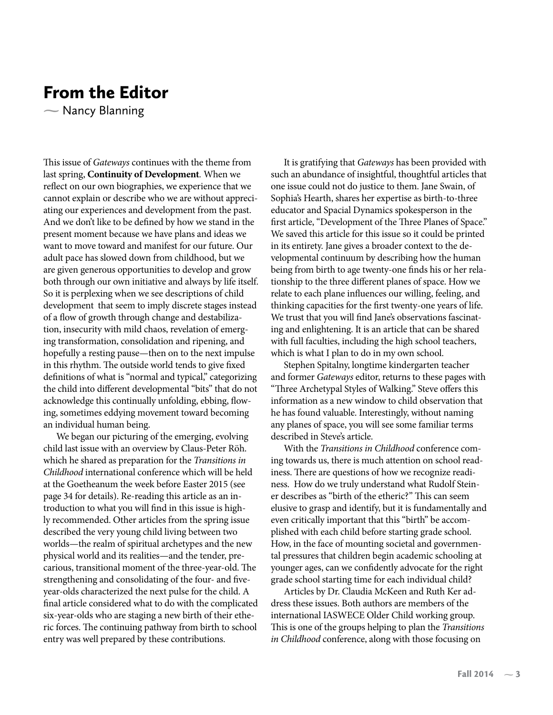### From the Editor

 $\sim$  Nancy Blanning

This issue of *Gateways* continues with the theme from last spring, **Continuity of Development***.* When we reflect on our own biographies, we experience that we cannot explain or describe who we are without appreciating our experiences and development from the past. And we don't like to be defined by how we stand in the present moment because we have plans and ideas we want to move toward and manifest for our future. Our adult pace has slowed down from childhood, but we are given generous opportunities to develop and grow both through our own initiative and always by life itself. So it is perplexing when we see descriptions of child development that seem to imply discrete stages instead of a flow of growth through change and destabilization, insecurity with mild chaos, revelation of emerging transformation, consolidation and ripening, and hopefully a resting pause—then on to the next impulse in this rhythm. The outside world tends to give fixed definitions of what is "normal and typical," categorizing the child into different developmental "bits" that do not acknowledge this continually unfolding, ebbing, flowing, sometimes eddying movement toward becoming an individual human being.

We began our picturing of the emerging, evolving child last issue with an overview by Claus-Peter Röh. which he shared as preparation for the *Transitions in Childhood* international conference which will be held at the Goetheanum the week before Easter 2015 (see page 34 for details). Re-reading this article as an introduction to what you will find in this issue is highly recommended. Other articles from the spring issue described the very young child living between two worlds—the realm of spiritual archetypes and the new physical world and its realities—and the tender, precarious, transitional moment of the three-year-old. The strengthening and consolidating of the four- and fiveyear-olds characterized the next pulse for the child. A final article considered what to do with the complicated six-year-olds who are staging a new birth of their etheric forces. The continuing pathway from birth to school entry was well prepared by these contributions.

It is gratifying that *Gateways* has been provided with such an abundance of insightful, thoughtful articles that one issue could not do justice to them. Jane Swain, of Sophia's Hearth, shares her expertise as birth-to-three educator and Spacial Dynamics spokesperson in the first article, "Development of the Three Planes of Space." We saved this article for this issue so it could be printed in its entirety. Jane gives a broader context to the developmental continuum by describing how the human being from birth to age twenty-one finds his or her relationship to the three different planes of space. How we relate to each plane influences our willing, feeling, and thinking capacities for the first twenty-one years of life. We trust that you will find Jane's observations fascinating and enlightening. It is an article that can be shared with full faculties, including the high school teachers, which is what I plan to do in my own school.

Stephen Spitalny, longtime kindergarten teacher and former *Gateways* editor, returns to these pages with "Three Archetypal Styles of Walking." Steve offers this information as a new window to child observation that he has found valuable. Interestingly, without naming any planes of space, you will see some familiar terms described in Steve's article.

With the *Transitions in Childhood* conference coming towards us, there is much attention on school readiness. There are questions of how we recognize readiness. How do we truly understand what Rudolf Steiner describes as "birth of the etheric?" This can seem elusive to grasp and identify, but it is fundamentally and even critically important that this "birth" be accomplished with each child before starting grade school. How, in the face of mounting societal and governmental pressures that children begin academic schooling at younger ages, can we confidently advocate for the right grade school starting time for each individual child?

Articles by Dr. Claudia McKeen and Ruth Ker address these issues. Both authors are members of the international IASWECE Older Child working group. This is one of the groups helping to plan the *Transitions in Childhood* conference, along with those focusing on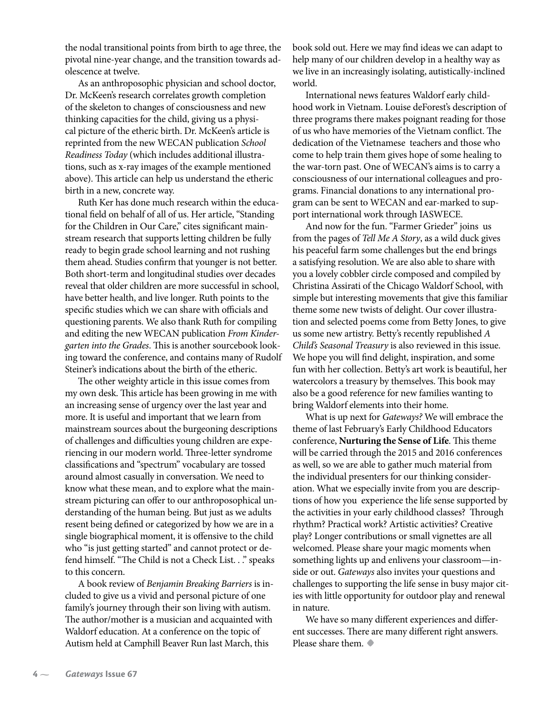the nodal transitional points from birth to age three, the pivotal nine-year change, and the transition towards adolescence at twelve.

As an anthroposophic physician and school doctor, Dr. McKeen's research correlates growth completion of the skeleton to changes of consciousness and new thinking capacities for the child, giving us a physical picture of the etheric birth. Dr. McKeen's article is reprinted from the new WECAN publication *School Readiness Today* (which includes additional illustrations, such as x-ray images of the example mentioned above). This article can help us understand the etheric birth in a new, concrete way.

Ruth Ker has done much research within the educational field on behalf of all of us. Her article, "Standing for the Children in Our Care," cites significant mainstream research that supports letting children be fully ready to begin grade school learning and not rushing them ahead. Studies confirm that younger is not better. Both short-term and longitudinal studies over decades reveal that older children are more successful in school, have better health, and live longer. Ruth points to the specific studies which we can share with officials and questioning parents. We also thank Ruth for compiling and editing the new WECAN publication *From Kindergarten into the Grades*. This is another sourcebook looking toward the conference, and contains many of Rudolf Steiner's indications about the birth of the etheric.

The other weighty article in this issue comes from my own desk. This article has been growing in me with an increasing sense of urgency over the last year and more. It is useful and important that we learn from mainstream sources about the burgeoning descriptions of challenges and difficulties young children are experiencing in our modern world. Three-letter syndrome classifications and "spectrum" vocabulary are tossed around almost casually in conversation. We need to know what these mean, and to explore what the mainstream picturing can offer to our anthroposophical understanding of the human being. But just as we adults resent being defined or categorized by how we are in a single biographical moment, it is offensive to the child who "is just getting started" and cannot protect or defend himself. "The Child is not a Check List. . ." speaks to this concern.

A book review of *Benjamin Breaking Barriers* is included to give us a vivid and personal picture of one family's journey through their son living with autism. The author/mother is a musician and acquainted with Waldorf education. At a conference on the topic of Autism held at Camphill Beaver Run last March, this

book sold out. Here we may find ideas we can adapt to help many of our children develop in a healthy way as we live in an increasingly isolating, autistically-inclined world.

International news features Waldorf early childhood work in Vietnam. Louise deForest's description of three programs there makes poignant reading for those of us who have memories of the Vietnam conflict. The dedication of the Vietnamese teachers and those who come to help train them gives hope of some healing to the war-torn past. One of WECAN's aims is to carry a consciousness of our international colleagues and programs. Financial donations to any international program can be sent to WECAN and ear-marked to support international work through IASWECE.

And now for the fun. "Farmer Grieder" joins us from the pages of *Tell Me A Story*, as a wild duck gives his peaceful farm some challenges but the end brings a satisfying resolution. We are also able to share with you a lovely cobbler circle composed and compiled by Christina Assirati of the Chicago Waldorf School, with simple but interesting movements that give this familiar theme some new twists of delight. Our cover illustration and selected poems come from Betty Jones, to give us some new artistry. Betty's recently republished *A Child's Seasonal Treasury* is also reviewed in this issue. We hope you will find delight, inspiration, and some fun with her collection. Betty's art work is beautiful, her watercolors a treasury by themselves. This book may also be a good reference for new families wanting to bring Waldorf elements into their home.

What is up next for *Gateways?* We will embrace the theme of last February's Early Childhood Educators conference, **Nurturing the Sense of Life**. This theme will be carried through the 2015 and 2016 conferences as well, so we are able to gather much material from the individual presenters for our thinking consideration. What we especially invite from you are descriptions of how you experience the life sense supported by the activities in your early childhood classes? Through rhythm? Practical work? Artistic activities? Creative play? Longer contributions or small vignettes are all welcomed. Please share your magic moments when something lights up and enlivens your classroom—inside or out. *Gateways* also invites your questions and challenges to supporting the life sense in busy major cities with little opportunity for outdoor play and renewal in nature.

We have so many different experiences and different successes. There are many different right answers. Please share them. **•**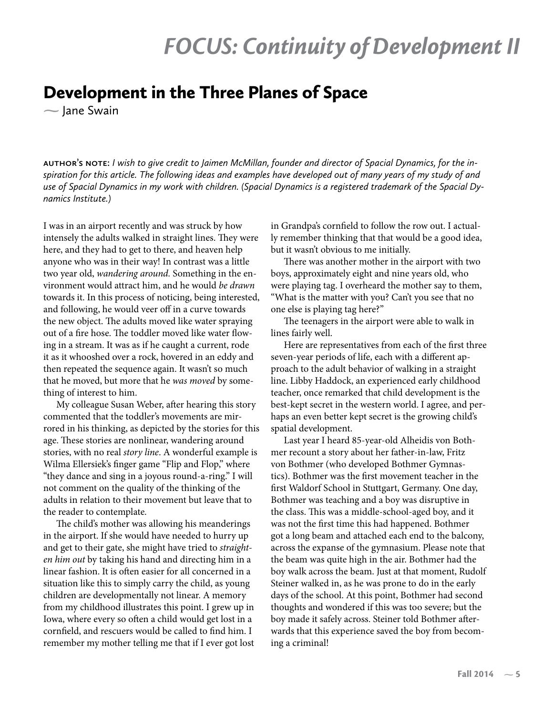### Development in the Three Planes of Space

 $\sim$  Jane Swain

**author's note:** *I wish to give credit to Jaimen McMillan, founder and director of Spacial Dynamics, for the inspiration for this article. The following ideas and examples have developed out of many years of my study of and use of Spacial Dynamics in my work with children. (Spacial Dynamics is a registered trademark of the Spacial Dynamics Institute.)*

I was in an airport recently and was struck by how intensely the adults walked in straight lines. They were here, and they had to get to there, and heaven help anyone who was in their way! In contrast was a little two year old, *wandering around.* Something in the environment would attract him, and he would *be drawn* towards it. In this process of noticing, being interested, and following, he would veer off in a curve towards the new object. The adults moved like water spraying out of a fire hose. The toddler moved like water flowing in a stream. It was as if he caught a current, rode it as it whooshed over a rock, hovered in an eddy and then repeated the sequence again. It wasn't so much that he moved, but more that he *was moved* by something of interest to him.

My colleague Susan Weber, after hearing this story commented that the toddler's movements are mirrored in his thinking, as depicted by the stories for this age. These stories are nonlinear, wandering around stories, with no real *story line*. A wonderful example is Wilma Ellersiek's finger game "Flip and Flop," where "they dance and sing in a joyous round-a-ring." I will not comment on the quality of the thinking of the adults in relation to their movement but leave that to the reader to contemplate.

The child's mother was allowing his meanderings in the airport. If she would have needed to hurry up and get to their gate, she might have tried to *straighten him out* by taking his hand and directing him in a linear fashion. It is often easier for all concerned in a situation like this to simply carry the child, as young children are developmentally not linear. A memory from my childhood illustrates this point. I grew up in Iowa, where every so often a child would get lost in a cornfield, and rescuers would be called to find him. I remember my mother telling me that if I ever got lost

in Grandpa's cornfield to follow the row out. I actually remember thinking that that would be a good idea, but it wasn't obvious to me initially.

There was another mother in the airport with two boys, approximately eight and nine years old, who were playing tag. I overheard the mother say to them, "What is the matter with you? Can't you see that no one else is playing tag here?"

The teenagers in the airport were able to walk in lines fairly well.

Here are representatives from each of the first three seven-year periods of life, each with a different approach to the adult behavior of walking in a straight line. Libby Haddock, an experienced early childhood teacher, once remarked that child development is the best-kept secret in the western world. I agree, and perhaps an even better kept secret is the growing child's spatial development.

Last year I heard 85-year-old Alheidis von Bothmer recount a story about her father-in-law, Fritz von Bothmer (who developed Bothmer Gymnastics). Bothmer was the first movement teacher in the first Waldorf School in Stuttgart, Germany. One day, Bothmer was teaching and a boy was disruptive in the class. This was a middle-school-aged boy, and it was not the first time this had happened. Bothmer got a long beam and attached each end to the balcony, across the expanse of the gymnasium. Please note that the beam was quite high in the air. Bothmer had the boy walk across the beam. Just at that moment, Rudolf Steiner walked in, as he was prone to do in the early days of the school. At this point, Bothmer had second thoughts and wondered if this was too severe; but the boy made it safely across. Steiner told Bothmer afterwards that this experience saved the boy from becoming a criminal!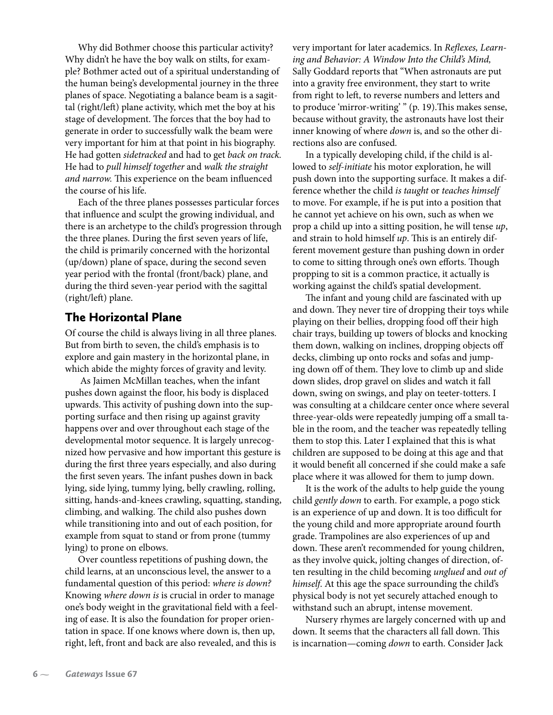Why did Bothmer choose this particular activity? Why didn't he have the boy walk on stilts, for example? Bothmer acted out of a spiritual understanding of the human being's developmental journey in the three planes of space. Negotiating a balance beam is a sagittal (right/left) plane activity, which met the boy at his stage of development. The forces that the boy had to generate in order to successfully walk the beam were very important for him at that point in his biography. He had gotten *sidetracked* and had to get *back on track.*  He had to *pull himself together* and *walk the straight and narrow.* This experience on the beam influenced the course of his life.

Each of the three planes possesses particular forces that influence and sculpt the growing individual, and there is an archetype to the child's progression through the three planes. During the first seven years of life, the child is primarily concerned with the horizontal (up/down) plane of space, during the second seven year period with the frontal (front/back) plane, and during the third seven-year period with the sagittal (right/left) plane.

#### The Horizontal Plane

Of course the child is always living in all three planes. But from birth to seven, the child's emphasis is to explore and gain mastery in the horizontal plane, in which abide the mighty forces of gravity and levity.

 As Jaimen McMillan teaches, when the infant pushes down against the floor, his body is displaced upwards. This activity of pushing down into the supporting surface and then rising up against gravity happens over and over throughout each stage of the developmental motor sequence. It is largely unrecognized how pervasive and how important this gesture is during the first three years especially, and also during the first seven years. The infant pushes down in back lying, side lying, tummy lying, belly crawling, rolling, sitting, hands-and-knees crawling, squatting, standing, climbing, and walking. The child also pushes down while transitioning into and out of each position, for example from squat to stand or from prone (tummy lying) to prone on elbows.

Over countless repetitions of pushing down, the child learns, at an unconscious level, the answer to a fundamental question of this period: *where is down?*  Knowing *where down is* is crucial in order to manage one's body weight in the gravitational field with a feeling of ease. It is also the foundation for proper orientation in space. If one knows where down is, then up, right, left, front and back are also revealed, and this is

very important for later academics. In *Reflexes, Learning and Behavior: A Window Into the Child's Mind,* Sally Goddard reports that "When astronauts are put into a gravity free environment, they start to write from right to left, to reverse numbers and letters and to produce 'mirror-writing' " (p. 19).This makes sense, because without gravity, the astronauts have lost their inner knowing of where *down* is, and so the other directions also are confused.

In a typically developing child, if the child is allowed to *self-initiate* his motor exploration, he will push down into the supporting surface. It makes a difference whether the child *is taught* or *teaches himself* to move. For example, if he is put into a position that he cannot yet achieve on his own, such as when we prop a child up into a sitting position, he will tense *up*, and strain to hold himself *up*. This is an entirely different movement gesture than pushing down in order to come to sitting through one's own efforts. Though propping to sit is a common practice, it actually is working against the child's spatial development.

The infant and young child are fascinated with up and down. They never tire of dropping their toys while playing on their bellies, dropping food off their high chair trays, building up towers of blocks and knocking them down, walking on inclines, dropping objects off decks, climbing up onto rocks and sofas and jumping down off of them. They love to climb up and slide down slides, drop gravel on slides and watch it fall down, swing on swings, and play on teeter-totters. I was consulting at a childcare center once where several three-year-olds were repeatedly jumping off a small table in the room, and the teacher was repeatedly telling them to stop this. Later I explained that this is what children are supposed to be doing at this age and that it would benefit all concerned if she could make a safe place where it was allowed for them to jump down.

It is the work of the adults to help guide the young child *gently down* to earth. For example, a pogo stick is an experience of up and down. It is too difficult for the young child and more appropriate around fourth grade. Trampolines are also experiences of up and down. These aren't recommended for young children, as they involve quick, jolting changes of direction, often resulting in the child becoming *unglued* and *out of himself*. At this age the space surrounding the child's physical body is not yet securely attached enough to withstand such an abrupt, intense movement.

Nursery rhymes are largely concerned with up and down. It seems that the characters all fall down. This is incarnation—coming *down* to earth. Consider Jack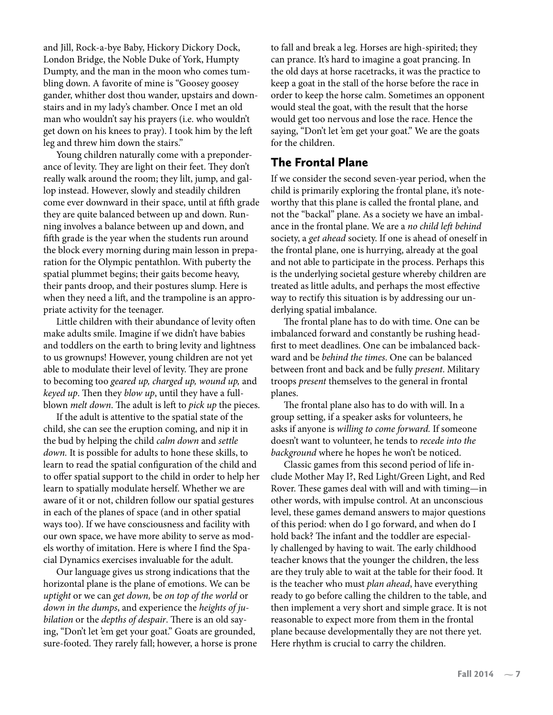and Jill, Rock-a-bye Baby, Hickory Dickory Dock, London Bridge, the Noble Duke of York, Humpty Dumpty, and the man in the moon who comes tumbling down. A favorite of mine is "Goosey goosey gander, whither dost thou wander, upstairs and downstairs and in my lady's chamber. Once I met an old man who wouldn't say his prayers (i.e. who wouldn't get down on his knees to pray). I took him by the left leg and threw him down the stairs."

Young children naturally come with a preponderance of levity. They are light on their feet. They don't really walk around the room; they lilt, jump, and gallop instead. However, slowly and steadily children come ever downward in their space, until at fifth grade they are quite balanced between up and down. Running involves a balance between up and down, and fifth grade is the year when the students run around the block every morning during main lesson in preparation for the Olympic pentathlon. With puberty the spatial plummet begins; their gaits become heavy, their pants droop, and their postures slump. Here is when they need a lift, and the trampoline is an appropriate activity for the teenager.

Little children with their abundance of levity often make adults smile. Imagine if we didn't have babies and toddlers on the earth to bring levity and lightness to us grownups! However, young children are not yet able to modulate their level of levity. They are prone to becoming too *geared up, charged up, wound up,* and *keyed up*. Then they *blow up*, until they have a fullblown *melt down*. The adult is left to *pick up* the pieces.

If the adult is attentive to the spatial state of the child, she can see the eruption coming, and nip it in the bud by helping the child *calm down* and *settle down.* It is possible for adults to hone these skills, to learn to read the spatial configuration of the child and to offer spatial support to the child in order to help her learn to spatially modulate herself. Whether we are aware of it or not, children follow our spatial gestures in each of the planes of space (and in other spatial ways too). If we have consciousness and facility with our own space, we have more ability to serve as models worthy of imitation. Here is where I find the Spacial Dynamics exercises invaluable for the adult.

Our language gives us strong indications that the horizontal plane is the plane of emotions. We can be *uptight* or we can *get down,* be *on top of the world* or *down in the dumps*, and experience the *heights of jubilation* or the *depths of despair*. There is an old saying, "Don't let 'em get your goat." Goats are grounded, sure-footed. They rarely fall; however, a horse is prone to fall and break a leg. Horses are high-spirited; they can prance. It's hard to imagine a goat prancing. In the old days at horse racetracks, it was the practice to keep a goat in the stall of the horse before the race in order to keep the horse calm. Sometimes an opponent would steal the goat, with the result that the horse would get too nervous and lose the race. Hence the saying, "Don't let 'em get your goat." We are the goats for the children.

#### The Frontal Plane

If we consider the second seven-year period, when the child is primarily exploring the frontal plane, it's noteworthy that this plane is called the frontal plane, and not the "backal" plane. As a society we have an imbalance in the frontal plane. We are a *no child left behind* society, a *get ahead* society. If one is ahead of oneself in the frontal plane, one is hurrying, already at the goal and not able to participate in the process. Perhaps this is the underlying societal gesture whereby children are treated as little adults, and perhaps the most effective way to rectify this situation is by addressing our underlying spatial imbalance.

The frontal plane has to do with time. One can be imbalanced forward and constantly be rushing headfirst to meet deadlines. One can be imbalanced backward and be *behind the times*. One can be balanced between front and back and be fully *present*. Military troops *present* themselves to the general in frontal planes.

The frontal plane also has to do with will. In a group setting, if a speaker asks for volunteers, he asks if anyone is *willing to come forward.* If someone doesn't want to volunteer, he tends to *recede into the background* where he hopes he won't be noticed.

Classic games from this second period of life include Mother May I?, Red Light/Green Light, and Red Rover. These games deal with will and with timing—in other words, with impulse control. At an unconscious level, these games demand answers to major questions of this period: when do I go forward, and when do I hold back? The infant and the toddler are especially challenged by having to wait. The early childhood teacher knows that the younger the children, the less are they truly able to wait at the table for their food. It is the teacher who must *plan ahead*, have everything ready to go before calling the children to the table, and then implement a very short and simple grace. It is not reasonable to expect more from them in the frontal plane because developmentally they are not there yet. Here rhythm is crucial to carry the children.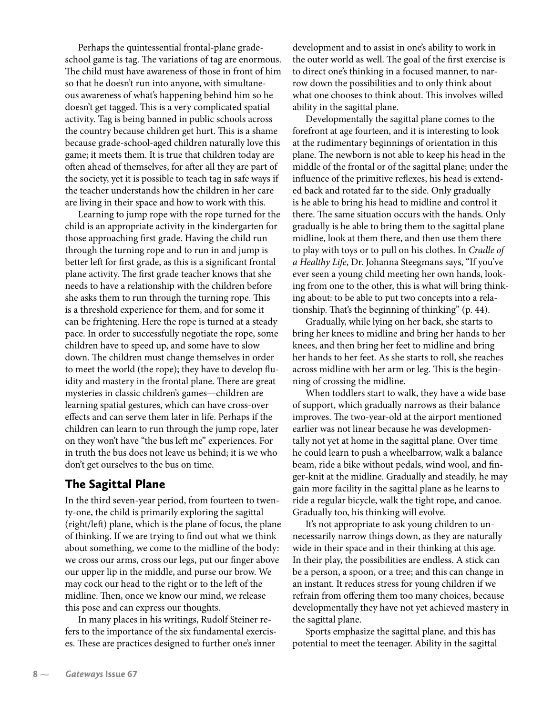Perhaps the quintessential frontal-plane gradeschool game is tag. The variations of tag are enormous. The child must have awareness of those in front of him so that he doesn't run into anyone, with simultaneous awareness of what's happening behind him so he doesn't get tagged. This is a very complicated spatial activity. Tag is being banned in public schools across the country because children get hurt. This is a shame because grade-school-aged children naturally love this game; it meets them. It is true that children today are often ahead of themselves, for after all they are part of the society, yet it is possible to teach tag in safe ways if the teacher understands how the children in her care are living in their space and how to work with this.

Learning to jump rope with the rope turned for the child is an appropriate activity in the kindergarten for those approaching first grade. Having the child run through the turning rope and to run in and jump is better left for first grade, as this is a significant frontal plane activity. The first grade teacher knows that she needs to have a relationship with the children before she asks them to run through the turning rope. This is a threshold experience for them, and for some it can be frightening. Here the rope is turned at a steady pace. In order to successfully negotiate the rope, some children have to speed up, and some have to slow down. The children must change themselves in order to meet the world (the rope); they have to develop fluidity and mastery in the frontal plane. There are great mysteries in classic children's games—children are learning spatial gestures, which can have cross-over effects and can serve them later in life. Perhaps if the children can learn to run through the jump rope, later on they won't have "the bus left me" experiences. For in truth the bus does not leave us behind; it is we who don't get ourselves to the bus on time.

#### The Sagittal Plane

In the third seven-year period, from fourteen to twenty-one, the child is primarily exploring the sagittal (right/left) plane, which is the plane of focus, the plane of thinking. If we are trying to find out what we think about something, we come to the midline of the body: we cross our arms, cross our legs, put our finger above our upper lip in the middle, and purse our brow. We may cock our head to the right or to the left of the midline. Then, once we know our mind, we release this pose and can express our thoughts.

In many places in his writings, Rudolf Steiner refers to the importance of the six fundamental exercises. These are practices designed to further one's inner development and to assist in one's ability to work in the outer world as well. The goal of the first exercise is to direct one's thinking in a focused manner, to narrow down the possibilities and to only think about what one chooses to think about. This involves willed ability in the sagittal plane.

Developmentally the sagittal plane comes to the forefront at age fourteen, and it is interesting to look at the rudimentary beginnings of orientation in this plane. The newborn is not able to keep his head in the middle of the frontal or of the sagittal plane; under the influence of the primitive reflexes, his head is extended back and rotated far to the side. Only gradually is he able to bring his head to midline and control it there. The same situation occurs with the hands. Only gradually is he able to bring them to the sagittal plane midline, look at them there, and then use them there to play with toys or to pull on his clothes. In *Cradle of a Healthy Life*, Dr. Johanna Steegmans says, "If you've ever seen a young child meeting her own hands, looking from one to the other, this is what will bring thinking about: to be able to put two concepts into a relationship. That's the beginning of thinking" (p. 44).

Gradually, while lying on her back, she starts to bring her knees to midline and bring her hands to her knees, and then bring her feet to midline and bring her hands to her feet. As she starts to roll, she reaches across midline with her arm or leg. This is the beginning of crossing the midline.

When toddlers start to walk, they have a wide base of support, which gradually narrows as their balance improves. The two-year-old at the airport mentioned earlier was not linear because he was developmentally not yet at home in the sagittal plane. Over time he could learn to push a wheelbarrow, walk a balance beam, ride a bike without pedals, wind wool, and finger-knit at the midline. Gradually and steadily, he may gain more facility in the sagittal plane as he learns to ride a regular bicycle, walk the tight rope, and canoe. Gradually too, his thinking will evolve.

It's not appropriate to ask young children to unnecessarily narrow things down, as they are naturally wide in their space and in their thinking at this age. In their play, the possibilities are endless. A stick can be a person, a spoon, or a tree; and this can change in an instant. It reduces stress for young children if we refrain from offering them too many choices, because developmentally they have not yet achieved mastery in the sagittal plane.

Sports emphasize the sagittal plane, and this has potential to meet the teenager. Ability in the sagittal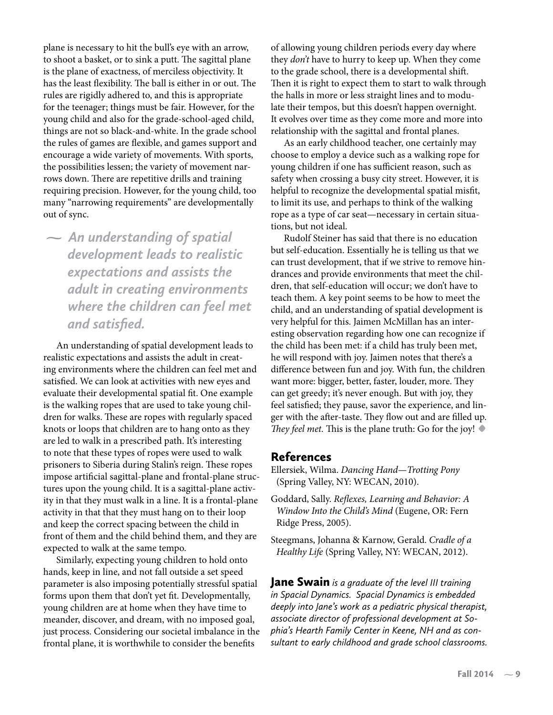plane is necessary to hit the bull's eye with an arrow, to shoot a basket, or to sink a putt. The sagittal plane is the plane of exactness, of merciless objectivity. It has the least flexibility. The ball is either in or out. The rules are rigidly adhered to, and this is appropriate for the teenager; things must be fair. However, for the young child and also for the grade-school-aged child, things are not so black-and-white. In the grade school the rules of games are flexible, and games support and encourage a wide variety of movements. With sports, the possibilities lessen; the variety of movement narrows down. There are repetitive drills and training requiring precision. However, for the young child, too many "narrowing requirements" are developmentally out of sync.

 *An understanding of spatial development leads to realistic expectations and assists the adult in creating environments where the children can feel met and satisfied.*

An understanding of spatial development leads to realistic expectations and assists the adult in creating environments where the children can feel met and satisfied. We can look at activities with new eyes and evaluate their developmental spatial fit. One example is the walking ropes that are used to take young children for walks. These are ropes with regularly spaced knots or loops that children are to hang onto as they are led to walk in a prescribed path. It's interesting to note that these types of ropes were used to walk prisoners to Siberia during Stalin's reign. These ropes impose artificial sagittal-plane and frontal-plane structures upon the young child. It is a sagittal-plane activity in that they must walk in a line. It is a frontal-plane activity in that that they must hang on to their loop and keep the correct spacing between the child in front of them and the child behind them, and they are expected to walk at the same tempo.

Similarly, expecting young children to hold onto hands, keep in line, and not fall outside a set speed parameter is also imposing potentially stressful spatial forms upon them that don't yet fit. Developmentally, young children are at home when they have time to meander, discover, and dream, with no imposed goal, just process. Considering our societal imbalance in the frontal plane, it is worthwhile to consider the benefits

of allowing young children periods every day where they *don't* have to hurry to keep up. When they come to the grade school, there is a developmental shift. Then it is right to expect them to start to walk through the halls in more or less straight lines and to modulate their tempos, but this doesn't happen overnight. It evolves over time as they come more and more into relationship with the sagittal and frontal planes.

As an early childhood teacher, one certainly may choose to employ a device such as a walking rope for young children if one has sufficient reason, such as safety when crossing a busy city street. However, it is helpful to recognize the developmental spatial misfit, to limit its use, and perhaps to think of the walking rope as a type of car seat—necessary in certain situations, but not ideal.

Rudolf Steiner has said that there is no education but self-education. Essentially he is telling us that we can trust development, that if we strive to remove hindrances and provide environments that meet the children, that self-education will occur; we don't have to teach them. A key point seems to be how to meet the child, and an understanding of spatial development is very helpful for this. Jaimen McMillan has an interesting observation regarding how one can recognize if the child has been met: if a child has truly been met, he will respond with joy. Jaimen notes that there's a difference between fun and joy. With fun, the children want more: bigger, better, faster, louder, more. They can get greedy; it's never enough. But with joy, they feel satisfied; they pause, savor the experience, and linger with the after-taste. They flow out and are filled up. *They feel met.* This is the plane truth: Go for the joy! **•**

#### References

Ellersiek, Wilma. *Dancing Hand—Trotting Pony*  (Spring Valley, NY: WECAN, 2010).

- Goddard, Sally. *Reflexes, Learning and Behavior: A Window Into the Child's Mind* (Eugene, OR: Fern Ridge Press, 2005).
- Steegmans, Johanna & Karnow, Gerald. *Cradle of a Healthy Life* (Spring Valley, NY: WECAN, 2012).

Jane Swain *is a graduate of the level III training in Spacial Dynamics. Spacial Dynamics is embedded deeply into Jane's work as a pediatric physical therapist, associate director of professional development at Sophia's Hearth Family Center in Keene, NH and as consultant to early childhood and grade school classrooms.*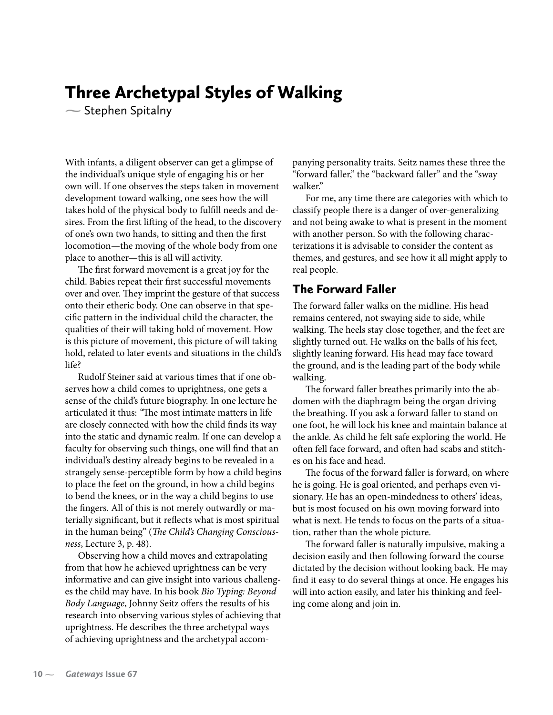### Three Archetypal Styles of Walking

 $\sim$  Stephen Spitalny

With infants, a diligent observer can get a glimpse of the individual's unique style of engaging his or her own will. If one observes the steps taken in movement development toward walking, one sees how the will takes hold of the physical body to fulfill needs and desires. From the first lifting of the head, to the discovery of one's own two hands, to sitting and then the first locomotion—the moving of the whole body from one place to another—this is all will activity.

The first forward movement is a great joy for the child. Babies repeat their first successful movements over and over. They imprint the gesture of that success onto their etheric body. One can observe in that specific pattern in the individual child the character, the qualities of their will taking hold of movement. How is this picture of movement, this picture of will taking hold, related to later events and situations in the child's life?

Rudolf Steiner said at various times that if one observes how a child comes to uprightness, one gets a sense of the child's future biography. In one lecture he articulated it thus: *"*The most intimate matters in life are closely connected with how the child finds its way into the static and dynamic realm. If one can develop a faculty for observing such things, one will find that an individual's destiny already begins to be revealed in a strangely sense-perceptible form by how a child begins to place the feet on the ground, in how a child begins to bend the knees, or in the way a child begins to use the fingers. All of this is not merely outwardly or materially significant, but it reflects what is most spiritual in the human being" (*The Child's Changing Consciousness*, Lecture 3, p. 48).

Observing how a child moves and extrapolating from that how he achieved uprightness can be very informative and can give insight into various challenges the child may have. In his book *Bio Typing: Beyond Body Language*, Johnny Seitz offers the results of his research into observing various styles of achieving that uprightness. He describes the three archetypal ways of achieving uprightness and the archetypal accompanying personality traits. Seitz names these three the "forward faller," the "backward faller" and the "sway walker."

For me, any time there are categories with which to classify people there is a danger of over-generalizing and not being awake to what is present in the moment with another person. So with the following characterizations it is advisable to consider the content as themes, and gestures, and see how it all might apply to real people.

#### The Forward Faller

The forward faller walks on the midline. His head remains centered, not swaying side to side, while walking. The heels stay close together, and the feet are slightly turned out. He walks on the balls of his feet, slightly leaning forward. His head may face toward the ground, and is the leading part of the body while walking.

The forward faller breathes primarily into the abdomen with the diaphragm being the organ driving the breathing. If you ask a forward faller to stand on one foot, he will lock his knee and maintain balance at the ankle. As child he felt safe exploring the world. He often fell face forward, and often had scabs and stitches on his face and head.

The focus of the forward faller is forward, on where he is going. He is goal oriented, and perhaps even visionary. He has an open-mindedness to others' ideas, but is most focused on his own moving forward into what is next. He tends to focus on the parts of a situation, rather than the whole picture.

The forward faller is naturally impulsive, making a decision easily and then following forward the course dictated by the decision without looking back. He may find it easy to do several things at once. He engages his will into action easily, and later his thinking and feeling come along and join in.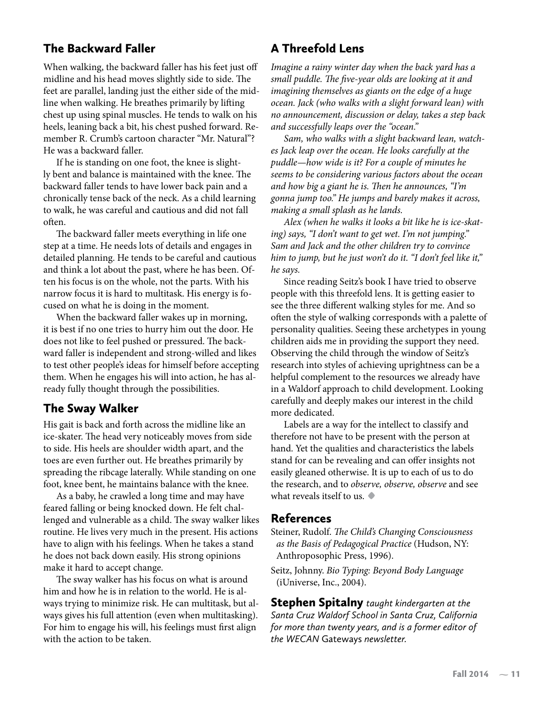#### The Backward Faller

When walking, the backward faller has his feet just off midline and his head moves slightly side to side. The feet are parallel, landing just the either side of the midline when walking. He breathes primarily by lifting chest up using spinal muscles. He tends to walk on his heels, leaning back a bit, his chest pushed forward. Remember R. Crumb's cartoon character "Mr. Natural"? He was a backward faller.

If he is standing on one foot, the knee is slightly bent and balance is maintained with the knee. The backward faller tends to have lower back pain and a chronically tense back of the neck. As a child learning to walk, he was careful and cautious and did not fall often.

The backward faller meets everything in life one step at a time. He needs lots of details and engages in detailed planning. He tends to be careful and cautious and think a lot about the past, where he has been. Often his focus is on the whole, not the parts. With his narrow focus it is hard to multitask. His energy is focused on what he is doing in the moment.

When the backward faller wakes up in morning, it is best if no one tries to hurry him out the door. He does not like to feel pushed or pressured. The backward faller is independent and strong-willed and likes to test other people's ideas for himself before accepting them. When he engages his will into action, he has already fully thought through the possibilities.

#### The Sway Walker

His gait is back and forth across the midline like an ice-skater. The head very noticeably moves from side to side. His heels are shoulder width apart, and the toes are even further out. He breathes primarily by spreading the ribcage laterally. While standing on one foot, knee bent, he maintains balance with the knee.

As a baby, he crawled a long time and may have feared falling or being knocked down. He felt challenged and vulnerable as a child. The sway walker likes routine. He lives very much in the present. His actions have to align with his feelings. When he takes a stand he does not back down easily. His strong opinions make it hard to accept change.

The sway walker has his focus on what is around him and how he is in relation to the world. He is always trying to minimize risk. He can multitask, but always gives his full attention (even when multitasking). For him to engage his will, his feelings must first align with the action to be taken.

#### A Threefold Lens

*Imagine a rainy winter day when the back yard has a small puddle. The five-year olds are looking at it and imagining themselves as giants on the edge of a huge ocean. Jack (who walks with a slight forward lean) with no announcement, discussion or delay, takes a step back and successfully leaps over the "ocean."*

*Sam, who walks with a slight backward lean, watches Jack leap over the ocean. He looks carefully at the puddle—how wide is it? For a couple of minutes he seems to be considering various factors about the ocean and how big a giant he is. Then he announces, "I'm gonna jump too." He jumps and barely makes it across, making a small splash as he lands.*

*Alex (when he walks it looks a bit like he is ice-skating) says, "I don't want to get wet. I'm not jumping." Sam and Jack and the other children try to convince him to jump, but he just won't do it. "I don't feel like it," he says.*

Since reading Seitz's book I have tried to observe people with this threefold lens. It is getting easier to see the three different walking styles for me. And so often the style of walking corresponds with a palette of personality qualities. Seeing these archetypes in young children aids me in providing the support they need. Observing the child through the window of Seitz's research into styles of achieving uprightness can be a helpful complement to the resources we already have in a Waldorf approach to child development. Looking carefully and deeply makes our interest in the child more dedicated.

Labels are a way for the intellect to classify and therefore not have to be present with the person at hand. Yet the qualities and characteristics the labels stand for can be revealing and can offer insights not easily gleaned otherwise. It is up to each of us to do the research, and to *observe, observe, observe* and see what reveals itself to us. **•**

#### References

Steiner, Rudolf. *The Child's Changing Consciousness as the Basis of Pedagogical Practice* (Hudson, NY: Anthroposophic Press, 1996).

Seitz, Johnny. *Bio Typing: Beyond Body Language*  (iUniverse, Inc., 2004).

Stephen Spitalny *taught kindergarten at the Santa Cruz Waldorf School in Santa Cruz, California for more than twenty years, and is a former editor of the WECAN* Gateways *newsletter.*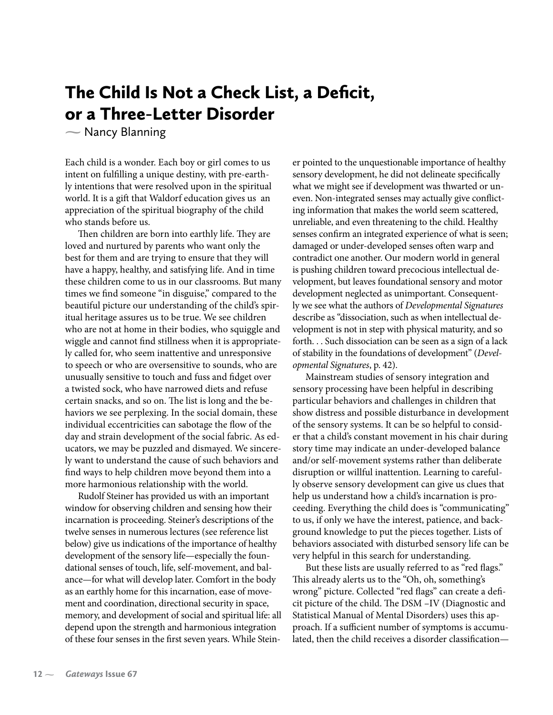# The Child Is Not a Check List, a Deficit, or a Three-Letter Disorder

 $\sim$  Nancy Blanning

Each child is a wonder. Each boy or girl comes to us intent on fulfilling a unique destiny, with pre-earthly intentions that were resolved upon in the spiritual world. It is a gift that Waldorf education gives us an appreciation of the spiritual biography of the child who stands before us.

Then children are born into earthly life. They are loved and nurtured by parents who want only the best for them and are trying to ensure that they will have a happy, healthy, and satisfying life. And in time these children come to us in our classrooms. But many times we find someone "in disguise," compared to the beautiful picture our understanding of the child's spiritual heritage assures us to be true. We see children who are not at home in their bodies, who squiggle and wiggle and cannot find stillness when it is appropriately called for, who seem inattentive and unresponsive to speech or who are oversensitive to sounds, who are unusually sensitive to touch and fuss and fidget over a twisted sock, who have narrowed diets and refuse certain snacks, and so on. The list is long and the behaviors we see perplexing. In the social domain, these individual eccentricities can sabotage the flow of the day and strain development of the social fabric. As educators, we may be puzzled and dismayed. We sincerely want to understand the cause of such behaviors and find ways to help children move beyond them into a more harmonious relationship with the world.

Rudolf Steiner has provided us with an important window for observing children and sensing how their incarnation is proceeding. Steiner's descriptions of the twelve senses in numerous lectures (see reference list below) give us indications of the importance of healthy development of the sensory life—especially the foundational senses of touch, life, self-movement, and balance—for what will develop later. Comfort in the body as an earthly home for this incarnation, ease of movement and coordination, directional security in space, memory, and development of social and spiritual life: all depend upon the strength and harmonious integration of these four senses in the first seven years. While Steiner pointed to the unquestionable importance of healthy sensory development, he did not delineate specifically what we might see if development was thwarted or uneven. Non-integrated senses may actually give conflicting information that makes the world seem scattered, unreliable, and even threatening to the child. Healthy senses confirm an integrated experience of what is seen; damaged or under-developed senses often warp and contradict one another. Our modern world in general is pushing children toward precocious intellectual development, but leaves foundational sensory and motor development neglected as unimportant. Consequently we see what the authors of *Developmental Signatures* describe as "dissociation, such as when intellectual development is not in step with physical maturity, and so forth. . . Such dissociation can be seen as a sign of a lack of stability in the foundations of development" (*Developmental Signatures*, p. 42).

Mainstream studies of sensory integration and sensory processing have been helpful in describing particular behaviors and challenges in children that show distress and possible disturbance in development of the sensory systems. It can be so helpful to consider that a child's constant movement in his chair during story time may indicate an under-developed balance and/or self-movement systems rather than deliberate disruption or willful inattention. Learning to carefully observe sensory development can give us clues that help us understand how a child's incarnation is proceeding. Everything the child does is "communicating" to us, if only we have the interest, patience, and background knowledge to put the pieces together. Lists of behaviors associated with disturbed sensory life can be very helpful in this search for understanding.

But these lists are usually referred to as "red flags." This already alerts us to the "Oh, oh, something's wrong" picture. Collected "red flags" can create a deficit picture of the child. The DSM –IV (Diagnostic and Statistical Manual of Mental Disorders) uses this approach. If a sufficient number of symptoms is accumulated, then the child receives a disorder classification—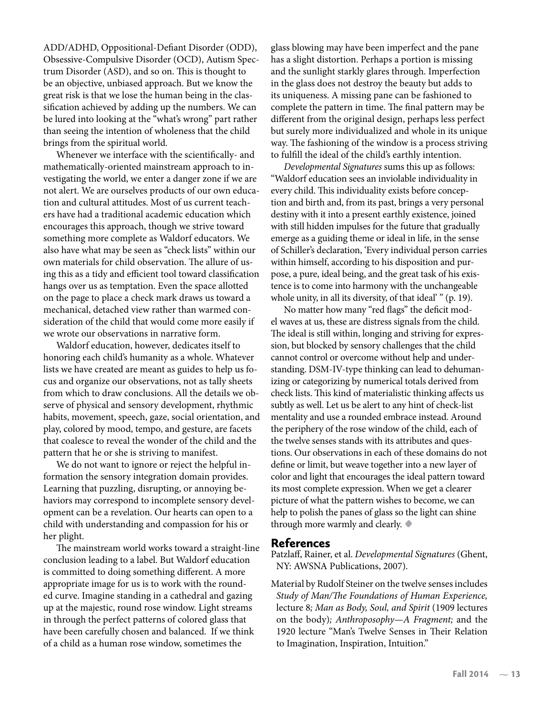ADD/ADHD, Oppositional-Defiant Disorder (ODD), Obsessive-Compulsive Disorder (OCD), Autism Spectrum Disorder (ASD), and so on. This is thought to be an objective, unbiased approach. But we know the great risk is that we lose the human being in the classification achieved by adding up the numbers. We can be lured into looking at the "what's wrong" part rather than seeing the intention of wholeness that the child brings from the spiritual world.

Whenever we interface with the scientifically- and mathematically-oriented mainstream approach to investigating the world, we enter a danger zone if we are not alert. We are ourselves products of our own education and cultural attitudes. Most of us current teachers have had a traditional academic education which encourages this approach, though we strive toward something more complete as Waldorf educators. We also have what may be seen as "check lists" within our own materials for child observation. The allure of using this as a tidy and efficient tool toward classification hangs over us as temptation. Even the space allotted on the page to place a check mark draws us toward a mechanical, detached view rather than warmed consideration of the child that would come more easily if we wrote our observations in narrative form.

Waldorf education, however, dedicates itself to honoring each child's humanity as a whole. Whatever lists we have created are meant as guides to help us focus and organize our observations, not as tally sheets from which to draw conclusions. All the details we observe of physical and sensory development, rhythmic habits, movement, speech, gaze, social orientation, and play, colored by mood, tempo, and gesture, are facets that coalesce to reveal the wonder of the child and the pattern that he or she is striving to manifest.

We do not want to ignore or reject the helpful information the sensory integration domain provides. Learning that puzzling, disrupting, or annoying behaviors may correspond to incomplete sensory development can be a revelation. Our hearts can open to a child with understanding and compassion for his or her plight.

The mainstream world works toward a straight-line conclusion leading to a label. But Waldorf education is committed to doing something different. A more appropriate image for us is to work with the rounded curve. Imagine standing in a cathedral and gazing up at the majestic, round rose window. Light streams in through the perfect patterns of colored glass that have been carefully chosen and balanced. If we think of a child as a human rose window, sometimes the

glass blowing may have been imperfect and the pane has a slight distortion. Perhaps a portion is missing and the sunlight starkly glares through. Imperfection in the glass does not destroy the beauty but adds to its uniqueness. A missing pane can be fashioned to complete the pattern in time. The final pattern may be different from the original design, perhaps less perfect but surely more individualized and whole in its unique way. The fashioning of the window is a process striving to fulfill the ideal of the child's earthly intention.

*Developmental Signatures* sums this up as follows: "Waldorf education sees an inviolable individuality in every child. This individuality exists before conception and birth and, from its past, brings a very personal destiny with it into a present earthly existence, joined with still hidden impulses for the future that gradually emerge as a guiding theme or ideal in life, in the sense of Schiller's declaration, 'Every individual person carries within himself, according to his disposition and purpose, a pure, ideal being, and the great task of his existence is to come into harmony with the unchangeable whole unity, in all its diversity, of that ideal' " (p. 19).

No matter how many "red flags" the deficit model waves at us, these are distress signals from the child. The ideal is still within, longing and striving for expression, but blocked by sensory challenges that the child cannot control or overcome without help and understanding. DSM-IV-type thinking can lead to dehumanizing or categorizing by numerical totals derived from check lists. This kind of materialistic thinking affects us subtly as well. Let us be alert to any hint of check-list mentality and use a rounded embrace instead. Around the periphery of the rose window of the child, each of the twelve senses stands with its attributes and questions. Our observations in each of these domains do not define or limit, but weave together into a new layer of color and light that encourages the ideal pattern toward its most complete expression. When we get a clearer picture of what the pattern wishes to become, we can help to polish the panes of glass so the light can shine through more warmly and clearly. **•**

#### References

Patzlaff, Rainer, et al. *Developmental Signatures* (Ghent, NY: AWSNA Publications, 2007).

Material by Rudolf Steiner on the twelve senses includes *Study of Man/The Foundations of Human Experience,*  lecture 8*; Man as Body, Soul, and Spirit* (1909 lectures on the body)*; Anthroposophy—A Fragment;* and the 1920 lecture "Man's Twelve Senses in Their Relation to Imagination, Inspiration, Intuition."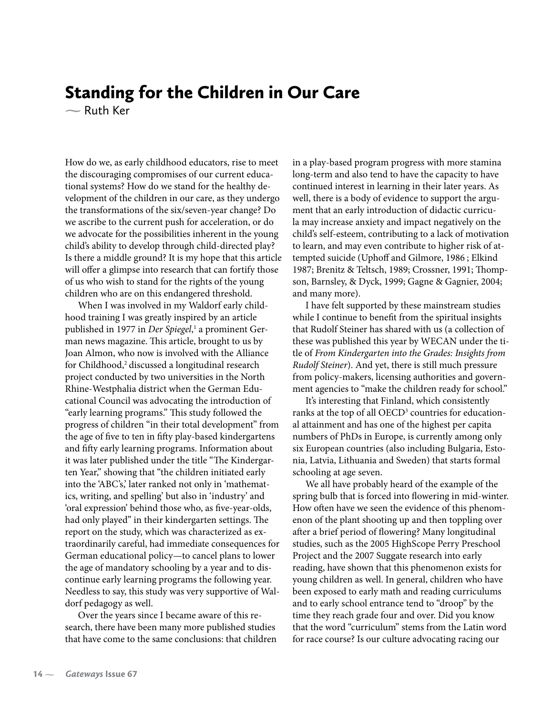### Standing for the Children in Our Care

 $\sim$  Ruth Ker

How do we, as early childhood educators, rise to meet the discouraging compromises of our current educational systems? How do we stand for the healthy development of the children in our care, as they undergo the transformations of the six/seven-year change? Do we ascribe to the current push for acceleration, or do we advocate for the possibilities inherent in the young child's ability to develop through child-directed play? Is there a middle ground? It is my hope that this article will offer a glimpse into research that can fortify those of us who wish to stand for the rights of the young children who are on this endangered threshold.

When I was involved in my Waldorf early childhood training I was greatly inspired by an article published in 1977 in *Der Spiegel*, 1 a prominent German news magazine. This article, brought to us by Joan Almon, who now is involved with the Alliance for Childhood,<sup>2</sup> discussed a longitudinal research project conducted by two universities in the North Rhine-Westphalia district when the German Educational Council was advocating the introduction of "early learning programs." This study followed the progress of children "in their total development" from the age of five to ten in fifty play-based kindergartens and fifty early learning programs. Information about it was later published under the title "The Kindergarten Year," showing that "the children initiated early into the 'ABC's,' later ranked not only in 'mathematics, writing, and spelling' but also in 'industry' and 'oral expression' behind those who, as five-year-olds, had only played" in their kindergarten settings. The report on the study, which was characterized as extraordinarily careful, had immediate consequences for German educational policy—to cancel plans to lower the age of mandatory schooling by a year and to discontinue early learning programs the following year. Needless to say, this study was very supportive of Waldorf pedagogy as well.

Over the years since I became aware of this research, there have been many more published studies that have come to the same conclusions: that children in a play-based program progress with more stamina long-term and also tend to have the capacity to have continued interest in learning in their later years. As well, there is a body of evidence to support the argument that an early introduction of didactic curricula may increase anxiety and impact negatively on the child's self-esteem, contributing to a lack of motivation to learn, and may even contribute to higher risk of attempted suicide (Uphoff and Gilmore, 1986 ; Elkind 1987; Brenitz & Teltsch, 1989; Crossner, 1991; Thompson, Barnsley, & Dyck, 1999; Gagne & Gagnier, 2004; and many more).

I have felt supported by these mainstream studies while I continue to benefit from the spiritual insights that Rudolf Steiner has shared with us (a collection of these was published this year by WECAN under the title of *From Kindergarten into the Grades: Insights from Rudolf Steiner*). And yet, there is still much pressure from policy-makers, licensing authorities and government agencies to "make the children ready for school."

It's interesting that Finland, which consistently ranks at the top of all OECD<sup>3</sup> countries for educational attainment and has one of the highest per capita numbers of PhDs in Europe, is currently among only six European countries (also including Bulgaria, Estonia, Latvia, Lithuania and Sweden) that starts formal schooling at age seven.

We all have probably heard of the example of the spring bulb that is forced into flowering in mid-winter. How often have we seen the evidence of this phenomenon of the plant shooting up and then toppling over after a brief period of flowering? Many longitudinal studies, such as the 2005 HighScope Perry Preschool Project and the 2007 Suggate research into early reading, have shown that this phenomenon exists for young children as well. In general, children who have been exposed to early math and reading curriculums and to early school entrance tend to "droop" by the time they reach grade four and over. Did you know that the word "curriculum" stems from the Latin word for race course? Is our culture advocating racing our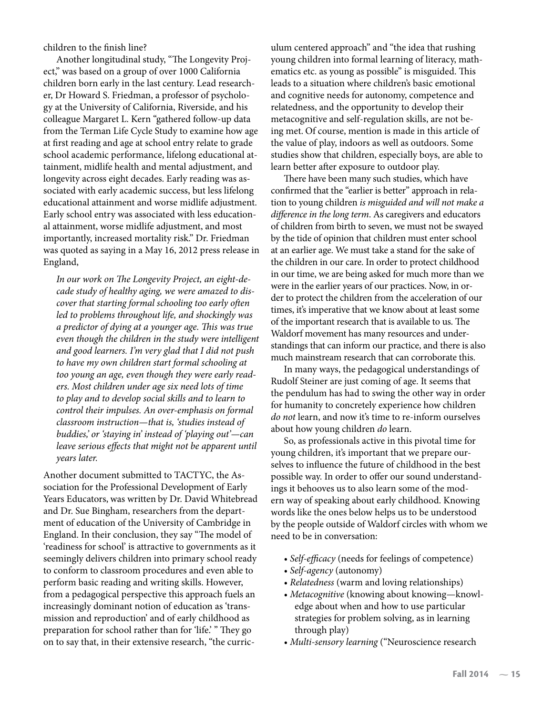children to the finish line?

Another longitudinal study, "The Longevity Project," was based on a group of over 1000 California children born early in the last century. Lead researcher, Dr Howard S. Friedman, a professor of psychology at the University of California, Riverside, and his colleague Margaret L. Kern "gathered follow-up data from the Terman Life Cycle Study to examine how age at first reading and age at school entry relate to grade school academic performance, lifelong educational attainment, midlife health and mental adjustment, and longevity across eight decades. Early reading was associated with early academic success, but less lifelong educational attainment and worse midlife adjustment. Early school entry was associated with less educational attainment, worse midlife adjustment, and most importantly, increased mortality risk." Dr. Friedman was quoted as saying in a May 16, 2012 press release in England,

*In our work on The Longevity Project, an eight-decade study of healthy aging, we were amazed to discover that starting formal schooling too early often led to problems throughout life, and shockingly was a predictor of dying at a younger age. This was true even though the children in the study were intelligent and good learners. I'm very glad that I did not push to have my own children start formal schooling at too young an age, even though they were early readers. Most children under age six need lots of time to play and to develop social skills and to learn to control their impulses. An over-emphasis on formal classroom instruction—that is, 'studies instead of buddies,' or 'staying in' instead of 'playing out'—can leave serious effects that might not be apparent until years later.*

Another document submitted to TACTYC, the Association for the Professional Development of Early Years Educators, was written by Dr. David Whitebread and Dr. Sue Bingham, researchers from the department of education of the University of Cambridge in England. In their conclusion, they say "The model of 'readiness for school' is attractive to governments as it seemingly delivers children into primary school ready to conform to classroom procedures and even able to perform basic reading and writing skills. However, from a pedagogical perspective this approach fuels an increasingly dominant notion of education as 'transmission and reproduction' and of early childhood as preparation for school rather than for 'life.' " They go on to say that, in their extensive research, "the curriculum centered approach" and "the idea that rushing young children into formal learning of literacy, mathematics etc. as young as possible" is misguided. This leads to a situation where children's basic emotional and cognitive needs for autonomy, competence and relatedness, and the opportunity to develop their metacognitive and self-regulation skills, are not being met. Of course, mention is made in this article of the value of play, indoors as well as outdoors. Some studies show that children, especially boys, are able to learn better after exposure to outdoor play.

There have been many such studies, which have confirmed that the "earlier is better" approach in relation to young children *is misguided and will not make a difference in the long term*. As caregivers and educators of children from birth to seven, we must not be swayed by the tide of opinion that children must enter school at an earlier age. We must take a stand for the sake of the children in our care. In order to protect childhood in our time, we are being asked for much more than we were in the earlier years of our practices. Now, in order to protect the children from the acceleration of our times, it's imperative that we know about at least some of the important research that is available to us. The Waldorf movement has many resources and understandings that can inform our practice, and there is also much mainstream research that can corroborate this.

In many ways, the pedagogical understandings of Rudolf Steiner are just coming of age. It seems that the pendulum has had to swing the other way in order for humanity to concretely experience how children *do not* learn, and now it's time to re-inform ourselves about how young children *do* learn.

So, as professionals active in this pivotal time for young children, it's important that we prepare ourselves to influence the future of childhood in the best possible way. In order to offer our sound understandings it behooves us to also learn some of the modern way of speaking about early childhood. Knowing words like the ones below helps us to be understood by the people outside of Waldorf circles with whom we need to be in conversation:

- *Self-efficacy* (needs for feelings of competence)
- *Self-agency* (autonomy)
- *Relatedness* (warm and loving relationships)
- *Metacognitive* (knowing about knowing—knowledge about when and how to use particular strategies for problem solving, as in learning through play)
- *Multi-sensory learning* ("Neuroscience research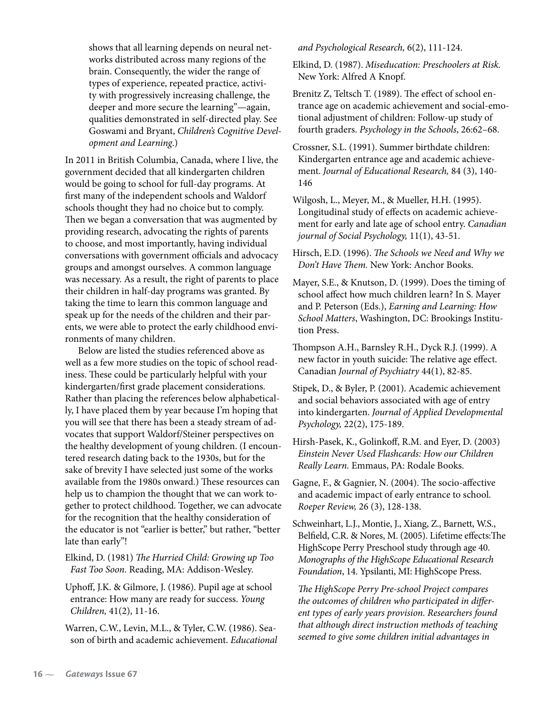shows that all learning depends on neural networks distributed across many regions of the brain. Consequently, the wider the range of types of experience, repeated practice, activity with progressively increasing challenge, the deeper and more secure the learning"—again, qualities demonstrated in self-directed play. See Goswami and Bryant, *Children's Cognitive Development and Learning*.)

In 2011 in British Columbia, Canada, where I live, the government decided that all kindergarten children would be going to school for full-day programs. At first many of the independent schools and Waldorf schools thought they had no choice but to comply. Then we began a conversation that was augmented by providing research, advocating the rights of parents to choose, and most importantly, having individual conversations with government officials and advocacy groups and amongst ourselves. A common language was necessary. As a result, the right of parents to place their children in half-day programs was granted. By taking the time to learn this common language and speak up for the needs of the children and their parents, we were able to protect the early childhood environments of many children.

Below are listed the studies referenced above as well as a few more studies on the topic of school readiness. These could be particularly helpful with your kindergarten/first grade placement considerations. Rather than placing the references below alphabetically, I have placed them by year because I'm hoping that you will see that there has been a steady stream of advocates that support Waldorf/Steiner perspectives on the healthy development of young children. (I encountered research dating back to the 1930s, but for the sake of brevity I have selected just some of the works available from the 1980s onward.) These resources can help us to champion the thought that we can work together to protect childhood. Together, we can advocate for the recognition that the healthy consideration of the educator is not "earlier is better," but rather, "better late than early"!

Elkind, D. (1981) *The Hurried Child: Growing up Too Fast Too Soon.* Reading, MA: Addison-Wesley.

Uphoff, J.K. & Gilmore, J. (1986). Pupil age at school entrance: How many are ready for success. *Young Children,* 41(2), 11-16.

Warren, C.W., Levin, M.L., & Tyler, C.W. (1986). Season of birth and academic achievement. *Educational*  *and Psychological Research,* 6(2), 111-124.

Elkind, D. (1987). *Miseducation: Preschoolers at Risk.*  New York: Alfred A Knopf.

Brenitz Z, Teltsch T. (1989). The effect of school entrance age on academic achievement and social-emotional adjustment of children: Follow-up study of fourth graders. *Psychology in the Schools*, 26:62–68.

Crossner, S.L. (1991). Summer birthdate children: Kindergarten entrance age and academic achievement. *Journal of Educational Research,* 84 (3), 140- 146

Wilgosh, L., Meyer, M., & Mueller, H.H. (1995). Longitudinal study of effects on academic achievement for early and late age of school entry. *Canadian journal of Social Psychology,* 11(1), 43-51.

Hirsch, E.D. (1996). *The Schools we Need and Why we Don't Have Them.* New York: Anchor Books.

Mayer, S.E., & Knutson, D. (1999). Does the timing of school affect how much children learn? In S. Mayer and P. Peterson (Eds.), *Earning and Learning: How School Matters*, Washington, DC: Brookings Institution Press.

Thompson A.H., Barnsley R.H., Dyck R.J. (1999). A new factor in youth suicide: The relative age effect. Canadian *Journal of Psychiatry* 44(1), 82-85.

Stipek, D., & Byler, P. (2001). Academic achievement and social behaviors associated with age of entry into kindergarten. *Journal of Applied Developmental Psychology,* 22(2), 175-189.

Hirsh-Pasek, K., Golinkoff, R.M. and Eyer, D. (2003) *Einstein Never Used Flashcards: How our Children Really Learn.* Emmaus, PA: Rodale Books.

Gagne, F., & Gagnier, N. (2004). The socio-affective and academic impact of early entrance to school. *Roeper Review,* 26 (3), 128-138.

Schweinhart, L.J., Montie, J., Xiang, Z., Barnett, W.S., Belfield, C.R. & Nores, M. (2005). Lifetime effects:The HighScope Perry Preschool study through age 40. *Monographs of the HighScope Educational Research*  Foundation, 14. Ypsilanti, MI: HighScope Press.

*The HighScope Perry Pre-school Project compares the outcomes of children who participated in different types of early years provision. Researchers found that although direct instruction methods of teaching seemed to give some children initial advantages in*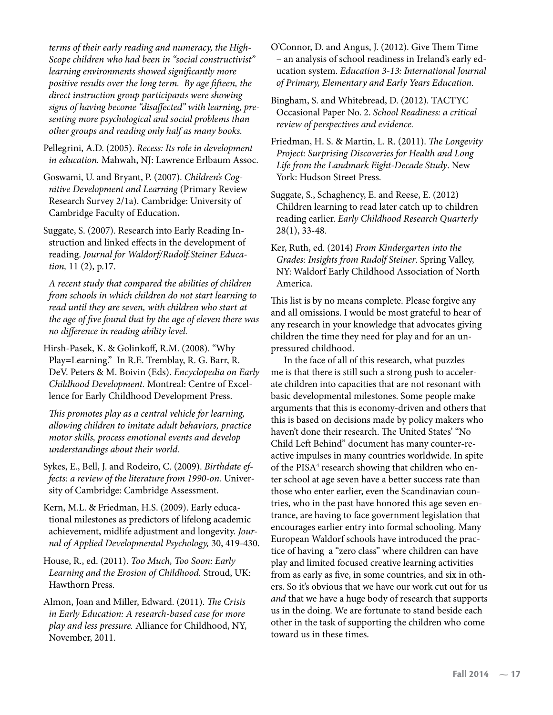*terms of their early reading and numeracy, the High-Scope children who had been in "social constructivist" learning environments showed significantly more positive results over the long term. By age fifteen, the direct instruction group participants were showing signs of having become "disaffected" with learning, presenting more psychological and social problems than other groups and reading only half as many books.* 

Pellegrini, A.D. (2005). *Recess: Its role in development in education.* Mahwah, NJ: Lawrence Erlbaum Assoc.

Goswami, U. and Bryant, P. (2007). *Children's Cognitive Development and Learning* (Primary Review Research Survey 2/1a). Cambridge: University of Cambridge Faculty of Education**.**

Suggate, S. (2007). Research into Early Reading Instruction and linked effects in the development of reading. *Journal for Waldorf/Rudolf.Steiner Education,* 11 (2), p.17.

*A recent study that compared the abilities of children from schools in which children do not start learning to read until they are seven, with children who start at the age of five found that by the age of eleven there was no difference in reading ability level.*

Hirsh-Pasek, K. & Golinkoff, R.M. (2008). "Why Play=Learning." In R.E. Tremblay, R. G. Barr, R. DeV. Peters & M. Boivin (Eds). *Encyclopedia on Early Childhood Development.* Montreal: Centre of Excellence for Early Childhood Development Press.

*This promotes play as a central vehicle for learning, allowing children to imitate adult behaviors, practice motor skills, process emotional events and develop understandings about their world.* 

Sykes, E., Bell, J. and Rodeiro, C. (2009). *Birthdate effects: a review of the literature from 1990-on.* University of Cambridge: Cambridge Assessment.

Kern, M.L. & Friedman, H.S. (2009). Early educational milestones as predictors of lifelong academic achievement, midlife adjustment and longevity. *Journal of Applied Developmental Psychology,* 30, 419-430.

House, R., ed. (2011). *Too Much, Too Soon: Early Learning and the Erosion of Childhood.* Stroud, UK: Hawthorn Press.

Almon, Joan and Miller, Edward. (2011). *The Crisis in Early Education: A research-based case for more play and less pressure.* Alliance for Childhood, NY, November, 2011.

O'Connor, D. and Angus, J. (2012). Give Them Time – an analysis of school readiness in Ireland's early education system. *Education 3-13: International Journal of Primary, Elementary and Early Years Education.*

Bingham, S. and Whitebread, D. (2012). TACTYC Occasional Paper No. 2. *School Readiness: a critical review of perspectives and evidence.*

Friedman, H. S. & Martin, L. R. (2011). *The Longevity Project: Surprising Discoveries for Health and Long Life from the Landmark Eight-Decade Study*. New York: Hudson Street Press.

Suggate, S., Schaghency, E. and Reese, E. (2012) Children learning to read later catch up to children reading earlier. *Early Childhood Research Quarterly*  28(1), 33-48.

Ker, Ruth, ed. (2014) *From Kindergarten into the Grades: Insights from Rudolf Steiner*. Spring Valley, NY: Waldorf Early Childhood Association of North America.

This list is by no means complete. Please forgive any and all omissions. I would be most grateful to hear of any research in your knowledge that advocates giving children the time they need for play and for an unpressured childhood.

In the face of all of this research, what puzzles me is that there is still such a strong push to accelerate children into capacities that are not resonant with basic developmental milestones. Some people make arguments that this is economy-driven and others that this is based on decisions made by policy makers who haven't done their research. The United States' "No Child Left Behind" document has many counter-reactive impulses in many countries worldwide. In spite of the PISA<sup>4</sup> research showing that children who enter school at age seven have a better success rate than those who enter earlier, even the Scandinavian countries, who in the past have honored this age seven entrance, are having to face government legislation that encourages earlier entry into formal schooling. Many European Waldorf schools have introduced the practice of having a "zero class" where children can have play and limited focused creative learning activities from as early as five, in some countries, and six in others. So it's obvious that we have our work cut out for us *and* that we have a huge body of research that supports us in the doing. We are fortunate to stand beside each other in the task of supporting the children who come toward us in these times.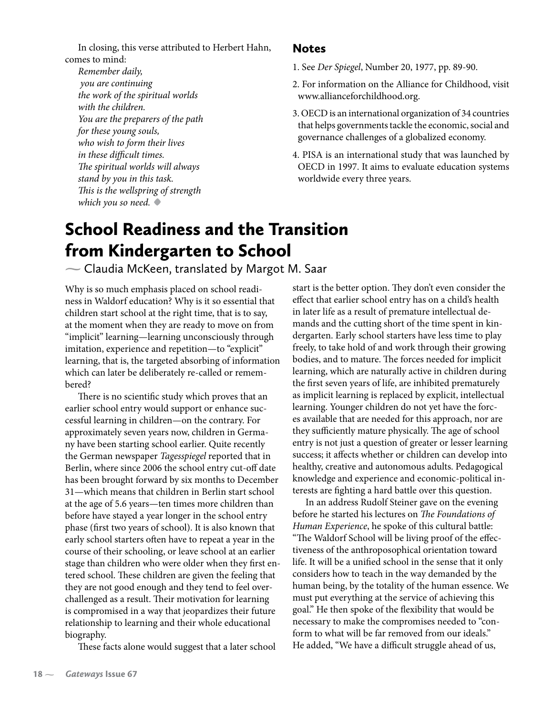In closing, this verse attributed to Herbert Hahn, comes to mind:

*Remember daily, you are continuing the work of the spiritual worlds with the children. You are the preparers of the path for these young souls, who wish to form their lives in these difficult times. The spiritual worlds will always stand by you in this task. This is the wellspring of strength which you so need.* **•**

#### Notes

- 1. See *Der Spiegel*, Number 20, 1977, pp. 89-90.
- 2. For information on the Alliance for Childhood, visit www.allianceforchildhood.org.
- 3. OECD is an international organization of 34 countries that helps governments tackle the economic, social and governance challenges of a globalized economy.
- 4. PISA is an international study that was launched by OECD in 1997. It aims to evaluate education systems worldwide every three years.

# School Readiness and the Transition from Kindergarten to School

 $\sim$  Claudia McKeen, translated by Margot M. Saar

Why is so much emphasis placed on school readiness in Waldorf education? Why is it so essential that children start school at the right time, that is to say, at the moment when they are ready to move on from "implicit" learning—learning unconsciously through imitation, experience and repetition—to "explicit" learning, that is, the targeted absorbing of information which can later be deliberately re-called or remembered?

There is no scientific study which proves that an earlier school entry would support or enhance successful learning in children—on the contrary. For approximately seven years now, children in Germany have been starting school earlier. Quite recently the German newspaper *Tagesspiegel* reported that in Berlin, where since 2006 the school entry cut-off date has been brought forward by six months to December 31—which means that children in Berlin start school at the age of 5.6 years—ten times more children than before have stayed a year longer in the school entry phase (first two years of school). It is also known that early school starters often have to repeat a year in the course of their schooling, or leave school at an earlier stage than children who were older when they first entered school. These children are given the feeling that they are not good enough and they tend to feel overchallenged as a result. Their motivation for learning is compromised in a way that jeopardizes their future relationship to learning and their whole educational biography.

These facts alone would suggest that a later school

start is the better option. They don't even consider the effect that earlier school entry has on a child's health in later life as a result of premature intellectual demands and the cutting short of the time spent in kindergarten. Early school starters have less time to play freely, to take hold of and work through their growing bodies, and to mature. The forces needed for implicit learning, which are naturally active in children during the first seven years of life, are inhibited prematurely as implicit learning is replaced by explicit, intellectual learning. Younger children do not yet have the forces available that are needed for this approach, nor are they sufficiently mature physically. The age of school entry is not just a question of greater or lesser learning success; it affects whether or children can develop into healthy, creative and autonomous adults. Pedagogical knowledge and experience and economic-political interests are fighting a hard battle over this question.

In an address Rudolf Steiner gave on the evening before he started his lectures on *The Foundations of Human Experience*, he spoke of this cultural battle: "The Waldorf School will be living proof of the effectiveness of the anthroposophical orientation toward life. It will be a unified school in the sense that it only considers how to teach in the way demanded by the human being, by the totality of the human essence. We must put everything at the service of achieving this goal." He then spoke of the flexibility that would be necessary to make the compromises needed to "conform to what will be far removed from our ideals." He added, "We have a difficult struggle ahead of us,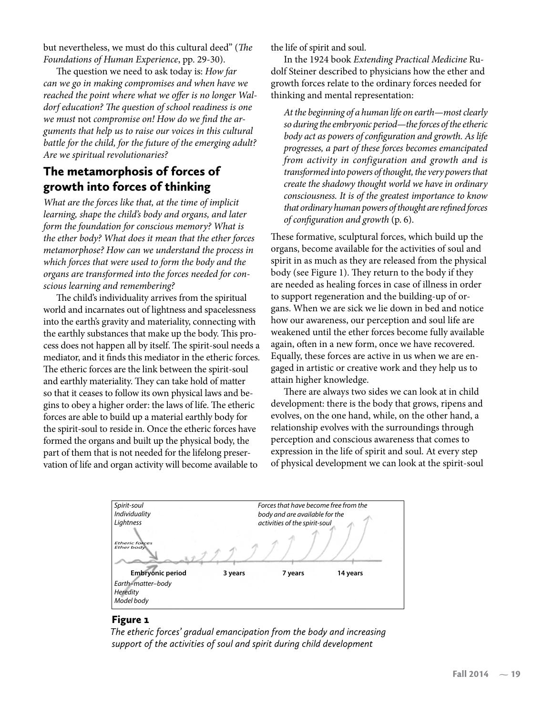but nevertheless, we must do this cultural deed" (*The Foundations of Human Experience*, pp. 29-30).

The question we need to ask today is: *How far can we go in making compromises and when have we reached the point where what we offer is no longer Waldorf education? The question of school readiness is one we must* not *compromise on! How do we find the arguments that help us to raise our voices in this cultural battle for the child, for the future of the emerging adult? Are we spiritual revolutionaries?*

#### The metamorphosis of forces of growth into forces of thinking

*What are the forces like that, at the time of implicit learning, shape the child's body and organs, and later form the foundation for conscious memory? What is the ether body? What does it mean that the ether forces metamorphose? How can we understand the process in which forces that were used to form the body and the organs are transformed into the forces needed for conscious learning and remembering?*

The child's individuality arrives from the spiritual world and incarnates out of lightness and spacelessness into the earth's gravity and materiality, connecting with the earthly substances that make up the body. This process does not happen all by itself. The spirit-soul needs a mediator, and it finds this mediator in the etheric forces. The etheric forces are the link between the spirit-soul and earthly materiality. They can take hold of matter so that it ceases to follow its own physical laws and begins to obey a higher order: the laws of life. The etheric forces are able to build up a material earthly body for the spirit-soul to reside in. Once the etheric forces have formed the organs and built up the physical body, the part of them that is not needed for the lifelong preservation of life and organ activity will become available to

the life of spirit and soul.

In the 1924 book *Extending Practical Medicine* Rudolf Steiner described to physicians how the ether and growth forces relate to the ordinary forces needed for thinking and mental representation:

*At the beginning of a human life on earth—most clearly so during the embryonic period—the forces of the etheric body act as powers of configuration and growth. As life progresses, a part of these forces becomes emancipated from activity in configuration and growth and is transformed into powers of thought, the very powers that create the shadowy thought world we have in ordinary consciousness. It is of the greatest importance to know that ordinary human powers of thought are refined forces of configuration and growth* (p. 6).

These formative, sculptural forces, which build up the organs, become available for the activities of soul and spirit in as much as they are released from the physical body (see Figure 1). They return to the body if they are needed as healing forces in case of illness in order to support regeneration and the building-up of organs. When we are sick we lie down in bed and notice how our awareness, our perception and soul life are weakened until the ether forces become fully available again, often in a new form, once we have recovered. Equally, these forces are active in us when we are engaged in artistic or creative work and they help us to attain higher knowledge.

There are always two sides we can look at in child development: there is the body that grows, ripens and evolves, on the one hand, while, on the other hand, a relationship evolves with the surroundings through perception and conscious awareness that comes to expression in the life of spirit and soul. At every step of physical development we can look at the spirit-soul



#### Figure 1

*The etheric forces' gradual emancipation from the body and increasing support of the activities of soul and spirit during child development*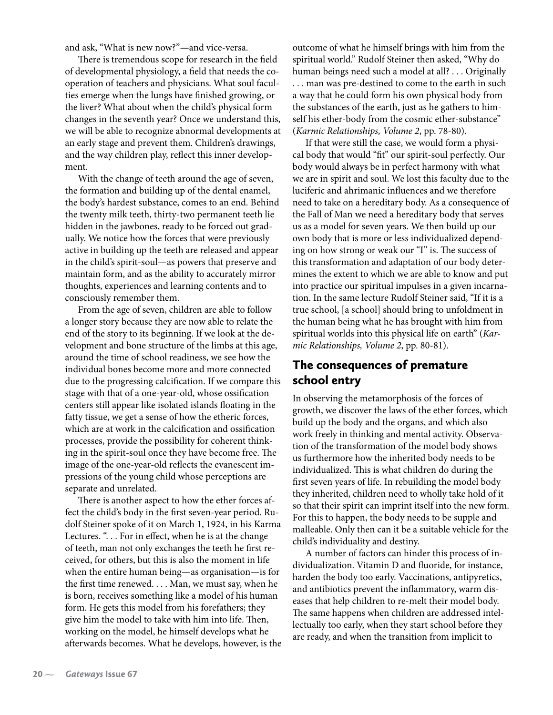and ask, "What is new now?"—and vice-versa.

There is tremendous scope for research in the field of developmental physiology, a field that needs the cooperation of teachers and physicians. What soul faculties emerge when the lungs have finished growing, or the liver? What about when the child's physical form changes in the seventh year? Once we understand this, we will be able to recognize abnormal developments at an early stage and prevent them. Children's drawings, and the way children play, reflect this inner development.

With the change of teeth around the age of seven, the formation and building up of the dental enamel, the body's hardest substance, comes to an end. Behind the twenty milk teeth, thirty-two permanent teeth lie hidden in the jawbones, ready to be forced out gradually. We notice how the forces that were previously active in building up the teeth are released and appear in the child's spirit-soul—as powers that preserve and maintain form, and as the ability to accurately mirror thoughts, experiences and learning contents and to consciously remember them.

From the age of seven, children are able to follow a longer story because they are now able to relate the end of the story to its beginning. If we look at the development and bone structure of the limbs at this age, around the time of school readiness, we see how the individual bones become more and more connected due to the progressing calcification. If we compare this stage with that of a one-year-old, whose ossification centers still appear like isolated islands floating in the fatty tissue, we get a sense of how the etheric forces, which are at work in the calcification and ossification processes, provide the possibility for coherent thinking in the spirit-soul once they have become free. The image of the one-year-old reflects the evanescent impressions of the young child whose perceptions are separate and unrelated.

There is another aspect to how the ether forces affect the child's body in the first seven-year period. Rudolf Steiner spoke of it on March 1, 1924, in his Karma Lectures. ". . . For in effect, when he is at the change of teeth, man not only exchanges the teeth he first received, for others, but this is also the moment in life when the entire human being—as organisation—is for the first time renewed. . . . Man, we must say, when he is born, receives something like a model of his human form. He gets this model from his forefathers; they give him the model to take with him into life. Then, working on the model, he himself develops what he afterwards becomes. What he develops, however, is the outcome of what he himself brings with him from the spiritual world." Rudolf Steiner then asked, "Why do human beings need such a model at all? . . . Originally . . . man was pre-destined to come to the earth in such a way that he could form his own physical body from the substances of the earth, just as he gathers to himself his ether-body from the cosmic ether-substance" (*Karmic Relationships, Volume 2*, pp. 78-80).

If that were still the case, we would form a physical body that would "fit" our spirit-soul perfectly. Our body would always be in perfect harmony with what we are in spirit and soul. We lost this faculty due to the luciferic and ahrimanic influences and we therefore need to take on a hereditary body. As a consequence of the Fall of Man we need a hereditary body that serves us as a model for seven years. We then build up our own body that is more or less individualized depending on how strong or weak our "I" is. The success of this transformation and adaptation of our body determines the extent to which we are able to know and put into practice our spiritual impulses in a given incarnation. In the same lecture Rudolf Steiner said, "If it is a true school, [a school] should bring to unfoldment in the human being what he has brought with him from spiritual worlds into this physical life on earth" (*Karmic Relationships, Volume 2*, pp. 80-81).

#### The consequences of premature school entry

In observing the metamorphosis of the forces of growth, we discover the laws of the ether forces, which build up the body and the organs, and which also work freely in thinking and mental activity. Observation of the transformation of the model body shows us furthermore how the inherited body needs to be individualized. This is what children do during the first seven years of life. In rebuilding the model body they inherited, children need to wholly take hold of it so that their spirit can imprint itself into the new form. For this to happen, the body needs to be supple and malleable. Only then can it be a suitable vehicle for the child's individuality and destiny.

A number of factors can hinder this process of individualization. Vitamin D and fluoride, for instance, harden the body too early. Vaccinations, antipyretics, and antibiotics prevent the inflammatory, warm diseases that help children to re-melt their model body. The same happens when children are addressed intellectually too early, when they start school before they are ready, and when the transition from implicit to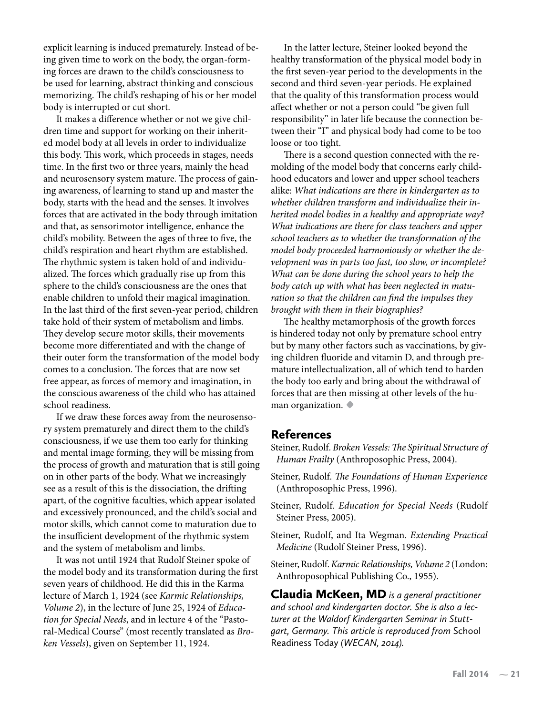explicit learning is induced prematurely. Instead of being given time to work on the body, the organ-forming forces are drawn to the child's consciousness to be used for learning, abstract thinking and conscious memorizing. The child's reshaping of his or her model body is interrupted or cut short.

It makes a difference whether or not we give children time and support for working on their inherited model body at all levels in order to individualize this body. This work, which proceeds in stages, needs time. In the first two or three years, mainly the head and neurosensory system mature. The process of gaining awareness, of learning to stand up and master the body, starts with the head and the senses. It involves forces that are activated in the body through imitation and that, as sensorimotor intelligence, enhance the child's mobility. Between the ages of three to five, the child's respiration and heart rhythm are established. The rhythmic system is taken hold of and individualized. The forces which gradually rise up from this sphere to the child's consciousness are the ones that enable children to unfold their magical imagination. In the last third of the first seven-year period, children take hold of their system of metabolism and limbs. They develop secure motor skills, their movements become more differentiated and with the change of their outer form the transformation of the model body comes to a conclusion. The forces that are now set free appear, as forces of memory and imagination, in the conscious awareness of the child who has attained school readiness.

If we draw these forces away from the neurosensory system prematurely and direct them to the child's consciousness, if we use them too early for thinking and mental image forming, they will be missing from the process of growth and maturation that is still going on in other parts of the body. What we increasingly see as a result of this is the dissociation, the drifting apart, of the cognitive faculties, which appear isolated and excessively pronounced, and the child's social and motor skills, which cannot come to maturation due to the insufficient development of the rhythmic system and the system of metabolism and limbs.

It was not until 1924 that Rudolf Steiner spoke of the model body and its transformation during the first seven years of childhood. He did this in the Karma lecture of March 1, 1924 (see *Karmic Relationships, Volume 2*), in the lecture of June 25, 1924 of *Education for Special Needs*, and in lecture 4 of the "Pastoral-Medical Course" (most recently translated as *Broken Vessels*), given on September 11, 1924.

In the latter lecture, Steiner looked beyond the healthy transformation of the physical model body in the first seven-year period to the developments in the second and third seven-year periods. He explained that the quality of this transformation process would affect whether or not a person could "be given full responsibility" in later life because the connection between their "I" and physical body had come to be too loose or too tight.

There is a second question connected with the remolding of the model body that concerns early childhood educators and lower and upper school teachers alike: *What indications are there in kindergarten as to whether children transform and individualize their inherited model bodies in a healthy and appropriate way? What indications are there for class teachers and upper school teachers as to whether the transformation of the model body proceeded harmoniously or whether the development was in parts too fast, too slow, or incomplete? What can be done during the school years to help the body catch up with what has been neglected in maturation so that the children can find the impulses they brought with them in their biographies?*

The healthy metamorphosis of the growth forces is hindered today not only by premature school entry but by many other factors such as vaccinations, by giving children fluoride and vitamin D, and through premature intellectualization, all of which tend to harden the body too early and bring about the withdrawal of forces that are then missing at other levels of the human organization. **•**

#### References

Steiner, Rudolf. *Broken Vessels: The Spiritual Structure of Human Frailty* (Anthroposophic Press, 2004).

Steiner, Rudolf. *The Foundations of Human Experience*  (Anthroposophic Press, 1996).

Steiner, Rudolf. *Education for Special Needs* (Rudolf Steiner Press, 2005).

- Steiner, Rudolf, and Ita Wegman. *Extending Practical Medicine* (Rudolf Steiner Press, 1996).
- Steiner, Rudolf. *Karmic Relationships, Volume 2* (London: Anthroposophical Publishing Co., 1955).

Claudia McKeen, MD *is a general practitioner and school and kindergarten doctor. She is also a lecturer at the Waldorf Kindergarten Seminar in Stuttgart, Germany. This article is reproduced from* School Readiness Today *(WECAN, 2014).*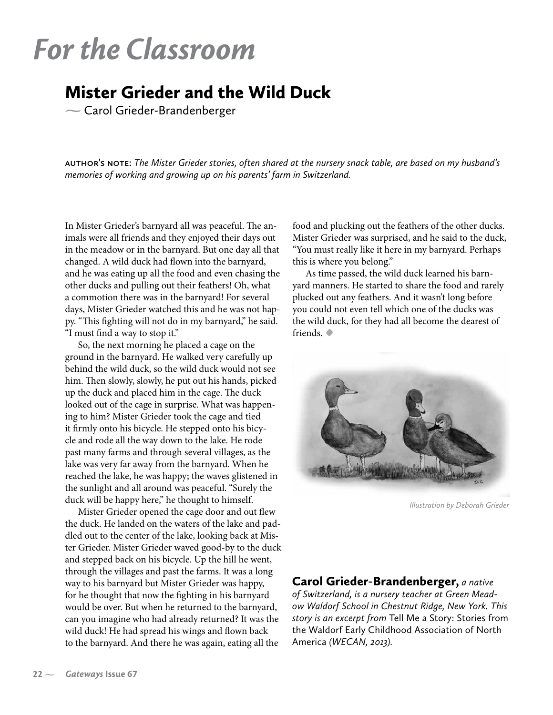# *For the Classroom*

### Mister Grieder and the Wild Duck

Carol Grieder-Brandenberger

**author's note:** *The Mister Grieder stories, often shared at the nursery snack table, are based on my husband's memories of working and growing up on his parents' farm in Switzerland.*

In Mister Grieder's barnyard all was peaceful. The animals were all friends and they enjoyed their days out in the meadow or in the barnyard. But one day all that changed. A wild duck had flown into the barnyard, and he was eating up all the food and even chasing the other ducks and pulling out their feathers! Oh, what a commotion there was in the barnyard! For several days, Mister Grieder watched this and he was not happy. "This fighting will not do in my barnyard," he said. "I must find a way to stop it."

So, the next morning he placed a cage on the ground in the barnyard. He walked very carefully up behind the wild duck, so the wild duck would not see him. Then slowly, slowly, he put out his hands, picked up the duck and placed him in the cage. The duck looked out of the cage in surprise. What was happening to him? Mister Grieder took the cage and tied it firmly onto his bicycle. He stepped onto his bicycle and rode all the way down to the lake. He rode past many farms and through several villages, as the lake was very far away from the barnyard. When he reached the lake, he was happy; the waves glistened in the sunlight and all around was peaceful. "Surely the duck will be happy here," he thought to himself.

Mister Grieder opened the cage door and out flew the duck. He landed on the waters of the lake and paddled out to the center of the lake, looking back at Mister Grieder. Mister Grieder waved good-by to the duck and stepped back on his bicycle. Up the hill he went, through the villages and past the farms. It was a long way to his barnyard but Mister Grieder was happy, for he thought that now the fighting in his barnyard would be over. But when he returned to the barnyard, can you imagine who had already returned? It was the wild duck! He had spread his wings and flown back to the barnyard. And there he was again, eating all the

food and plucking out the feathers of the other ducks. Mister Grieder was surprised, and he said to the duck, "You must really like it here in my barnyard. Perhaps this is where you belong."

As time passed, the wild duck learned his barnyard manners. He started to share the food and rarely plucked out any feathers. And it wasn't long before you could not even tell which one of the ducks was the wild duck, for they had all become the dearest of friends. **•**



*Illustration by Deborah Grieder*

#### Carol Grieder-Brandenberger, *a native*

*of Switzerland, is a nursery teacher at Green Meadow Waldorf School in Chestnut Ridge, New York. This story is an excerpt from* Tell Me a Story: Stories from the Waldorf Early Childhood Association of North America *(WECAN, 2013).*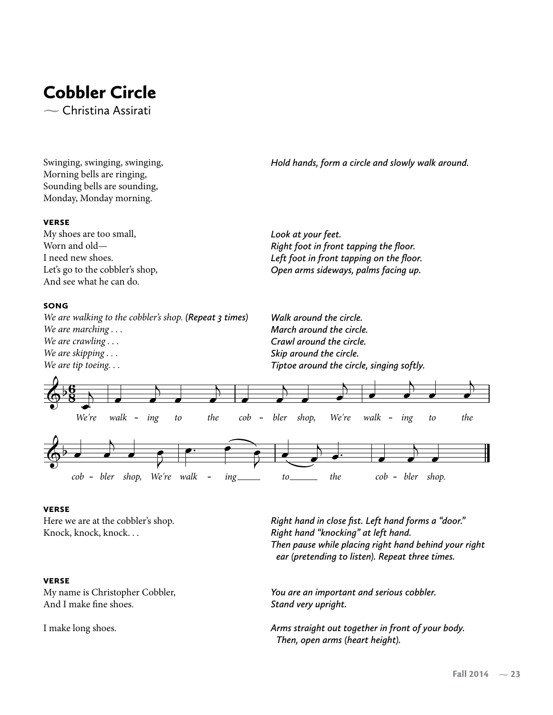# Cobbler Circle

 $\sim$  Christina Assirati

Swinging, swinging, swinging, Morning bells are ringing, Sounding bells are sounding, Monday, Monday morning.

*Hold hands, form a circle and slowly walk around.*

#### **VERSE**

My shoes are too small, Worn and old— I need new shoes. Let's go to the cobbler's shop, And see what he can do.

#### **SONG**

*We are walking to the cobbler's shop. (Repeat 3 times) We are marching . . . We are crawling . . . We are skipping . . . We are tip toeing. . .*

*Look at your feet. Right foot in front tapping the floor. Left foot in front tapping on the floor. Open arms sideways, palms facing up.*

*Walk around the circle. March around the circle. Crawl around the circle. Skip around the circle. Tiptoe around the circle, singing softly.*



#### **VERSE**

Here we are at the cobbler's shop. Knock, knock, knock. . .

#### **VERSE**

My name is Christopher Cobbler, And I make fine shoes.

I make long shoes.

*Right hand in close fist. Left hand forms a "door." Right hand "knocking" at left hand. Then pause while placing right hand behind your right ear (pretending to listen). Repeat three times.*

*You are an important and serious cobbler. Stand very upright.*

*Arms straight out together in front of your body. Then, open arms (heart height).*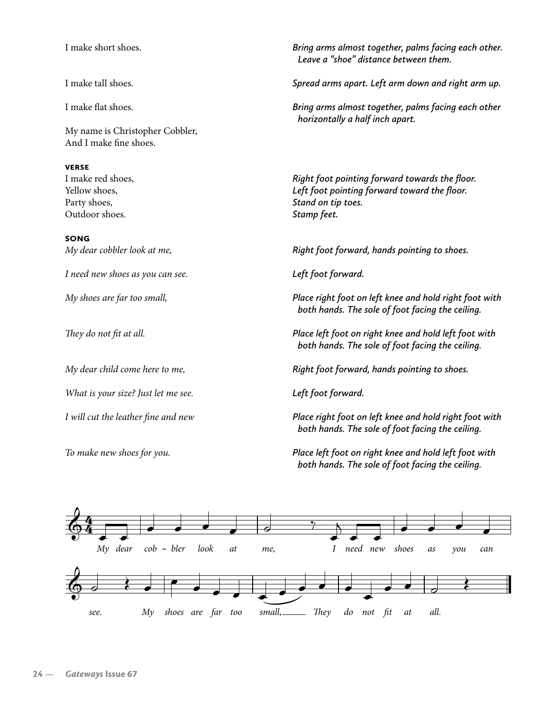I make short shoes.

I make tall shoes.

I make flat shoes.

My name is Christopher Cobbler, And I make fine shoes.

#### **VERSE**

I make red shoes, Yellow shoes, Party shoes, Outdoor shoes.

**SONG** *My dear cobbler look at me,* 

*I need new shoes as you can see.*

*My shoes are far too small,*

*They do not fit at all.*

*My dear child come here to me,* 

*What is your size? Just let me see.*

*I will cut the leather fine and new*

*To make new shoes for you.*

*Bring arms almost together, palms facing each other. Leave a "shoe" distance between them.*

*Spread arms apart. Left arm down and right arm up.*

*Bring arms almost together, palms facing each other horizontally a half inch apart.*

*Right foot pointing forward towards the floor. Left foot pointing forward toward the floor. Stand on tip toes. Stamp feet.*

*Right foot forward, hands pointing to shoes.* 

*Left foot forward.*

*Place right foot on left knee and hold right foot with both hands. The sole of foot facing the ceiling.*

*Place left foot on right knee and hold left foot with both hands. The sole of foot facing the ceiling.*

*Right foot forward, hands pointing to shoes.* 

*Left foot forward.*

*Place right foot on left knee and hold right foot with both hands. The sole of foot facing the ceiling.*

*Place left foot on right knee and hold left foot with both hands. The sole of foot facing the ceiling.*

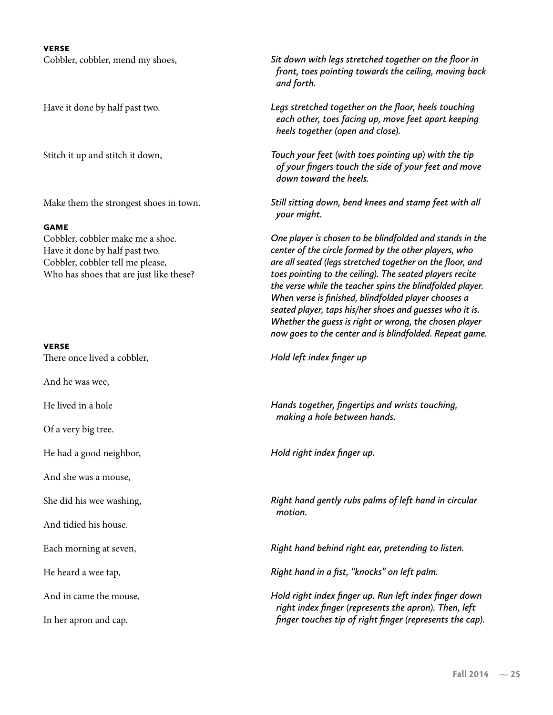#### **VERSE**

Cobbler, cobbler, mend my shoes,

Have it done by half past two.

Stitch it up and stitch it down,

Make them the strongest shoes in town.

#### **GAME**

Cobbler, cobbler make me a shoe. Have it done by half past two. Cobbler, cobbler tell me please, Who has shoes that are just like these?

#### **VERSE**

There once lived a cobbler,

And he was wee,

He lived in a hole

Of a very big tree.

He had a good neighbor,

And she was a mouse,

She did his wee washing,

And tidied his house.

Each morning at seven,

He heard a wee tap,

And in came the mouse,

In her apron and cap.

*Sit down with legs stretched together on the floor in front, toes pointing towards the ceiling, moving back and forth.*

*Legs stretched together on the floor, heels touching each other, toes facing up, move feet apart keeping heels together (open and close).*

*Touch your feet (with toes pointing up) with the tip of your fingers touch the side of your feet and move down toward the heels.*

*Still sitting down, bend knees and stamp feet with all your might.*

*One player is chosen to be blindfolded and stands in the center of the circle formed by the other players, who are all seated (legs stretched together on the floor, and toes pointing to the ceiling). The seated players recite the verse while the teacher spins the blindfolded player. When verse is finished, blindfolded player chooses a seated player, taps his/her shoes and guesses who it is. Whether the guess is right or wrong, the chosen player now goes to the center and is blindfolded. Repeat game.*

*Hold left index finger up*

*Hands together, fingertips and wrists touching, making a hole between hands.*

*Hold right index finger up.*

*Right hand gently rubs palms of left hand in circular motion.*

*Right hand behind right ear, pretending to listen.* 

*Right hand in a fist, "knocks" on left palm.*

*Hold right index finger up. Run left index finger down right index finger (represents the apron). Then, left finger touches tip of right finger (represents the cap).*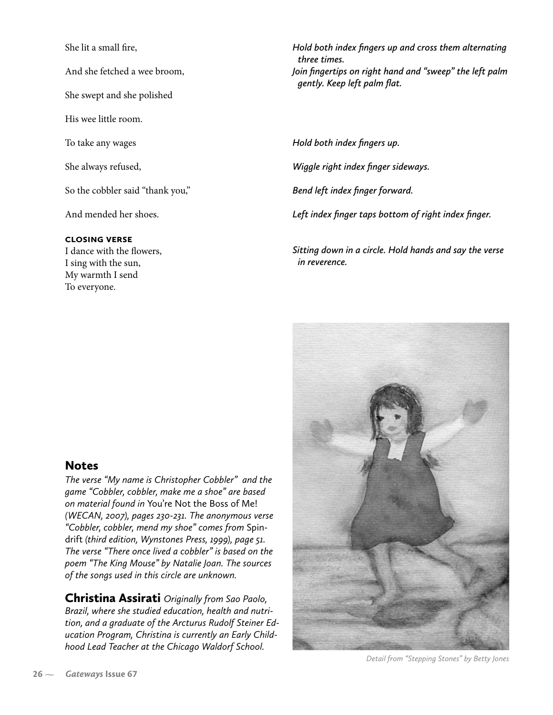She lit a small fire,

And she fetched a wee broom,

She swept and she polished

His wee little room.

To take any wages

She always refused,

So the cobbler said "thank you,"

And mended her shoes.

#### **CLOSING VERSE**

I dance with the flowers, I sing with the sun, My warmth I send To everyone.

*Hold both index fingers up and cross them alternating three times. Join fingertips on right hand and "sweep" the left palm gently. Keep left palm flat.*

*Hold both index fingers up. Wiggle right index finger sideways. Bend left index finger forward. Left index finger taps bottom of right index finger.*

*Sitting down in a circle. Hold hands and say the verse in reverence.*

#### **Notes**

*The verse "My name is Christopher Cobbler" and the game "Cobbler, cobbler, make me a shoe" are based on material found in* You're Not the Boss of Me! *(WECAN, 2007), pages 230-231. The anonymous verse "Cobbler, cobbler, mend my shoe" comes from* Spindrift *(third edition, Wynstones Press, 1999), page 51. The verse "There once lived a cobbler" is based on the poem "The King Mouse" by Natalie Joan. The sources of the songs used in this circle are unknown.*

Christina Assirati *Originally from Sao Paolo, Brazil, where she studied education, health and nutrition, and a graduate of the Arcturus Rudolf Steiner Education Program, Christina is currently an Early Childhood Lead Teacher at the Chicago Waldorf School.*



*Detail from "Stepping Stones" by Betty Jones*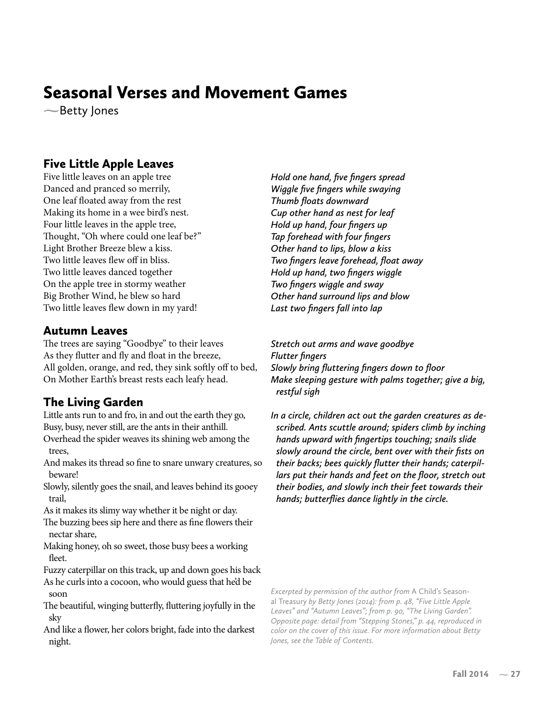## Seasonal Verses and Movement Games

Betty Jones

#### Five Little Apple Leaves

Five little leaves on an apple tree Danced and pranced so merrily, One leaf floated away from the rest Making its home in a wee bird's nest. Four little leaves in the apple tree, Thought, "Oh where could one leaf be?" Light Brother Breeze blew a kiss. Two little leaves flew off in bliss. Two little leaves danced together On the apple tree in stormy weather Big Brother Wind, he blew so hard Two little leaves flew down in my yard!

#### Autumn Leaves

The trees are saying "Goodbye" to their leaves As they flutter and fly and float in the breeze, All golden, orange, and red, they sink softly off to bed, On Mother Earth's breast rests each leafy head.

#### The Living Garden

Little ants run to and fro, in and out the earth they go, Busy, busy, never still, are the ants in their anthill.

Overhead the spider weaves its shining web among the trees,

And makes its thread so fine to snare unwary creatures, so beware!

Slowly, silently goes the snail, and leaves behind its gooey trail,

As it makes its slimy way whether it be night or day. The buzzing bees sip here and there as fine flowers their nectar share,

Making honey, oh so sweet, those busy bees a working fleet.

Fuzzy caterpillar on this track, up and down goes his back

As he curls into a cocoon, who would guess that he'd be soon

The beautiful, winging butterfly, fluttering joyfully in the sky

And like a flower, her colors bright, fade into the darkest night.

*Hold one hand, five fingers spread Wiggle five fingers while swaying Thumb floats downward Cup other hand as nest for leaf Hold up hand, four fingers up Tap forehead with four fingers Other hand to lips, blow a kiss Two fingers leave forehead, float away Hold up hand, two fingers wiggle Two fingers wiggle and sway Other hand surround lips and blow Last two fingers fall into lap*

*Stretch out arms and wave goodbye Flutter fingers Slowly bring fluttering fingers down to floor Make sleeping gesture with palms together; give a big, restful sigh*

*In a circle, children act out the garden creatures as described. Ants scuttle around; spiders climb by inching hands upward with fingertips touching; snails slide slowly around the circle, bent over with their fists on their backs; bees quickly flutter their hands; caterpillars put their hands and feet on the floor, stretch out their bodies, and slowly inch their feet towards their hands; butterflies dance lightly in the circle.*

*Excerpted by permission of the author from* A Child's Seasonal Treasury *by Betty Jones (2014): from p. 48, "Five Little Apple Leaves" and "Autumn Leaves"; from p. 90, "The Living Garden". Opposite page: detail from "Stepping Stones," p. 44, reproduced in color on the cover of this issue. For more information about Betty Jones, see the Table of Contents.*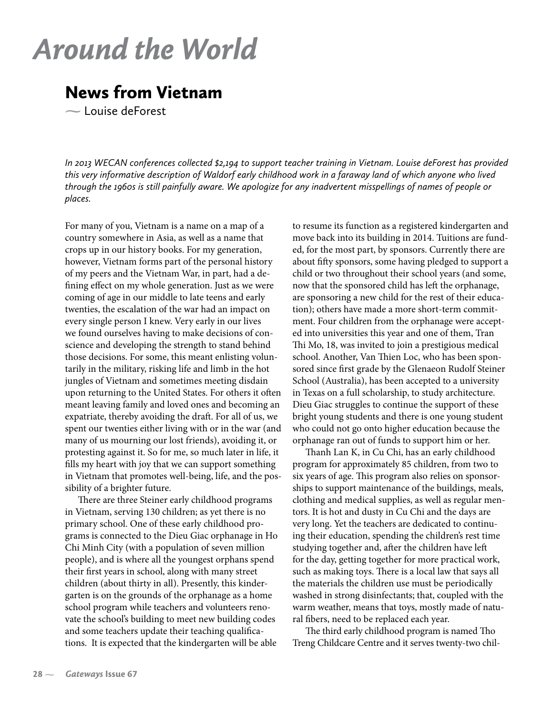# *Around the World*

### News from Vietnam

 $\sim$  Louise deForest

*In 2013 WECAN conferences collected \$2,194 to support teacher training in Vietnam. Louise deForest has provided this very informative description of Waldorf early childhood work in a faraway land of which anyone who lived through the 1960s is still painfully aware. We apologize for any inadvertent misspellings of names of people or places.*

For many of you, Vietnam is a name on a map of a country somewhere in Asia, as well as a name that crops up in our history books. For my generation, however, Vietnam forms part of the personal history of my peers and the Vietnam War, in part, had a defining effect on my whole generation. Just as we were coming of age in our middle to late teens and early twenties, the escalation of the war had an impact on every single person I knew. Very early in our lives we found ourselves having to make decisions of conscience and developing the strength to stand behind those decisions. For some, this meant enlisting voluntarily in the military, risking life and limb in the hot jungles of Vietnam and sometimes meeting disdain upon returning to the United States. For others it often meant leaving family and loved ones and becoming an expatriate, thereby avoiding the draft. For all of us, we spent our twenties either living with or in the war (and many of us mourning our lost friends), avoiding it, or protesting against it. So for me, so much later in life, it fills my heart with joy that we can support something in Vietnam that promotes well-being, life, and the possibility of a brighter future.

There are three Steiner early childhood programs in Vietnam, serving 130 children; as yet there is no primary school. One of these early childhood programs is connected to the Dieu Giac orphanage in Ho Chi Minh City (with a population of seven million people), and is where all the youngest orphans spend their first years in school, along with many street children (about thirty in all). Presently, this kindergarten is on the grounds of the orphanage as a home school program while teachers and volunteers renovate the school's building to meet new building codes and some teachers update their teaching qualifications. It is expected that the kindergarten will be able to resume its function as a registered kindergarten and move back into its building in 2014. Tuitions are funded, for the most part, by sponsors. Currently there are about fifty sponsors, some having pledged to support a child or two throughout their school years (and some, now that the sponsored child has left the orphanage, are sponsoring a new child for the rest of their education); others have made a more short-term commitment. Four children from the orphanage were accepted into universities this year and one of them, Tran Thi Mo, 18, was invited to join a prestigious medical school. Another, Van Thien Loc, who has been sponsored since first grade by the Glenaeon Rudolf Steiner School (Australia), has been accepted to a university in Texas on a full scholarship, to study architecture. Dieu Giac struggles to continue the support of these bright young students and there is one young student who could not go onto higher education because the orphanage ran out of funds to support him or her.

Thanh Lan K, in Cu Chi, has an early childhood program for approximately 85 children, from two to six years of age. This program also relies on sponsorships to support maintenance of the buildings, meals, clothing and medical supplies, as well as regular mentors. It is hot and dusty in Cu Chi and the days are very long. Yet the teachers are dedicated to continuing their education, spending the children's rest time studying together and, after the children have left for the day, getting together for more practical work, such as making toys. There is a local law that says all the materials the children use must be periodically washed in strong disinfectants; that, coupled with the warm weather, means that toys, mostly made of natural fibers, need to be replaced each year.

The third early childhood program is named Tho Treng Childcare Centre and it serves twenty-two chil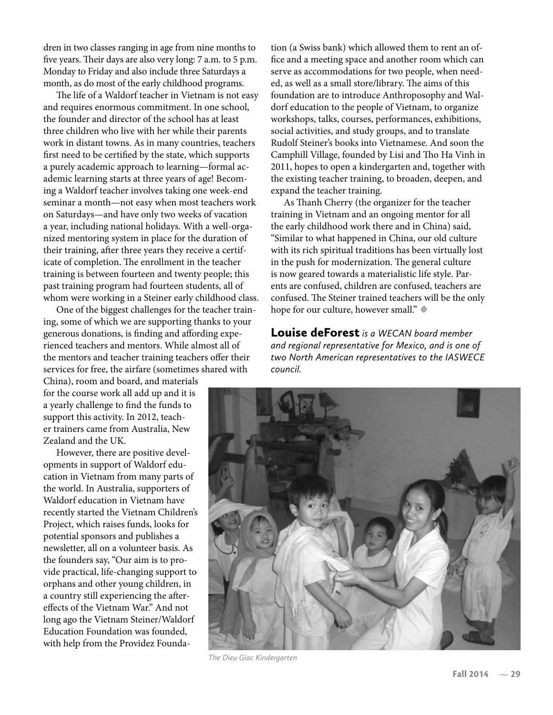dren in two classes ranging in age from nine months to five years. Their days are also very long: 7 a.m. to 5 p.m. Monday to Friday and also include three Saturdays a month, as do most of the early childhood programs.

The life of a Waldorf teacher in Vietnam is not easy and requires enormous commitment. In one school, the founder and director of the school has at least three children who live with her while their parents work in distant towns. As in many countries, teachers first need to be certified by the state, which supports a purely academic approach to learning—formal academic learning starts at three years of age! Becoming a Waldorf teacher involves taking one week-end seminar a month—not easy when most teachers work on Saturdays—and have only two weeks of vacation a year, including national holidays. With a well-organized mentoring system in place for the duration of their training, after three years they receive a certificate of completion. The enrollment in the teacher training is between fourteen and twenty people; this past training program had fourteen students, all of whom were working in a Steiner early childhood class.

One of the biggest challenges for the teacher training, some of which we are supporting thanks to your generous donations, is finding and affording experienced teachers and mentors. While almost all of the mentors and teacher training teachers offer their services for free, the airfare (sometimes shared with

China), room and board, and materials for the course work all add up and it is a yearly challenge to find the funds to support this activity. In 2012, teacher trainers came from Australia, New Zealand and the UK.

However, there are positive developments in support of Waldorf education in Vietnam from many parts of the world. In Australia, supporters of Waldorf education in Vietnam have recently started the Vietnam Children's Project, which raises funds, looks for potential sponsors and publishes a newsletter, all on a volunteer basis. As the founders say, "Our aim is to provide practical, life-changing support to orphans and other young children, in a country still experiencing the aftereffects of the Vietnam War." And not long ago the Vietnam Steiner/Waldorf Education Foundation was founded, with help from the Providez Foundation (a Swiss bank) which allowed them to rent an office and a meeting space and another room which can serve as accommodations for two people, when needed, as well as a small store/library. The aims of this foundation are to introduce Anthroposophy and Waldorf education to the people of Vietnam, to organize workshops, talks, courses, performances, exhibitions, social activities, and study groups, and to translate Rudolf Steiner's books into Vietnamese. And soon the Camphill Village, founded by Lisi and Tho Ha Vinh in 2011, hopes to open a kindergarten and, together with the existing teacher training, to broaden, deepen, and expand the teacher training.

As Thanh Cherry (the organizer for the teacher training in Vietnam and an ongoing mentor for all the early childhood work there and in China) said, "Similar to what happened in China, our old culture with its rich spiritual traditions has been virtually lost in the push for modernization. The general culture is now geared towards a materialistic life style. Parents are confused, children are confused, teachers are confused. The Steiner trained teachers will be the only hope for our culture, however small." **•**

Louise deForest *is a WECAN board member and regional representative for Mexico, and is one of two North American representatives to the IASWECE council.*



*The Dieu Giac Kindergarten*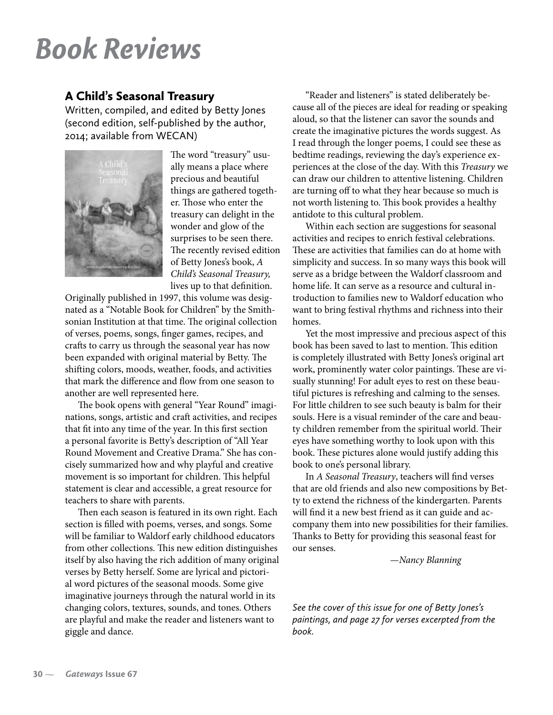# *Book Reviews*

#### A Child's Seasonal Treasury

Written, compiled, and edited by Betty Jones (second edition, self-published by the author, 2014; available from WECAN)



The word "treasury" usually means a place where precious and beautiful things are gathered together. Those who enter the treasury can delight in the wonder and glow of the surprises to be seen there. The recently revised edition of Betty Jones's book, *A Child's Seasonal Treasury,* lives up to that definition.

Originally published in 1997, this volume was designated as a "Notable Book for Children" by the Smithsonian Institution at that time. The original collection of verses, poems, songs, finger games, recipes, and crafts to carry us through the seasonal year has now been expanded with original material by Betty. The shifting colors, moods, weather, foods, and activities that mark the difference and flow from one season to another are well represented here.

The book opens with general "Year Round" imaginations, songs, artistic and craft activities, and recipes that fit into any time of the year. In this first section a personal favorite is Betty's description of "All Year Round Movement and Creative Drama." She has concisely summarized how and why playful and creative movement is so important for children. This helpful statement is clear and accessible, a great resource for teachers to share with parents.

Then each season is featured in its own right. Each section is filled with poems, verses, and songs. Some will be familiar to Waldorf early childhood educators from other collections. This new edition distinguishes itself by also having the rich addition of many original verses by Betty herself. Some are lyrical and pictorial word pictures of the seasonal moods. Some give imaginative journeys through the natural world in its changing colors, textures, sounds, and tones. Others are playful and make the reader and listeners want to giggle and dance.

"Reader and listeners" is stated deliberately because all of the pieces are ideal for reading or speaking aloud, so that the listener can savor the sounds and create the imaginative pictures the words suggest. As I read through the longer poems, I could see these as bedtime readings, reviewing the day's experience experiences at the close of the day. With this *Treasury* we can draw our children to attentive listening. Children are turning off to what they hear because so much is not worth listening to. This book provides a healthy antidote to this cultural problem.

Within each section are suggestions for seasonal activities and recipes to enrich festival celebrations. These are activities that families can do at home with simplicity and success. In so many ways this book will serve as a bridge between the Waldorf classroom and home life. It can serve as a resource and cultural introduction to families new to Waldorf education who want to bring festival rhythms and richness into their homes.

Yet the most impressive and precious aspect of this book has been saved to last to mention. This edition is completely illustrated with Betty Jones's original art work, prominently water color paintings. These are visually stunning! For adult eyes to rest on these beautiful pictures is refreshing and calming to the senses. For little children to see such beauty is balm for their souls. Here is a visual reminder of the care and beauty children remember from the spiritual world. Their eyes have something worthy to look upon with this book. These pictures alone would justify adding this book to one's personal library.

In *A Seasonal Treasury*, teachers will find verses that are old friends and also new compositions by Betty to extend the richness of the kindergarten. Parents will find it a new best friend as it can guide and accompany them into new possibilities for their families. Thanks to Betty for providing this seasonal feast for our senses.

 *—Nancy Blanning*

*See the cover of this issue for one of Betty Jones's paintings, and page 27 for verses excerpted from the book.*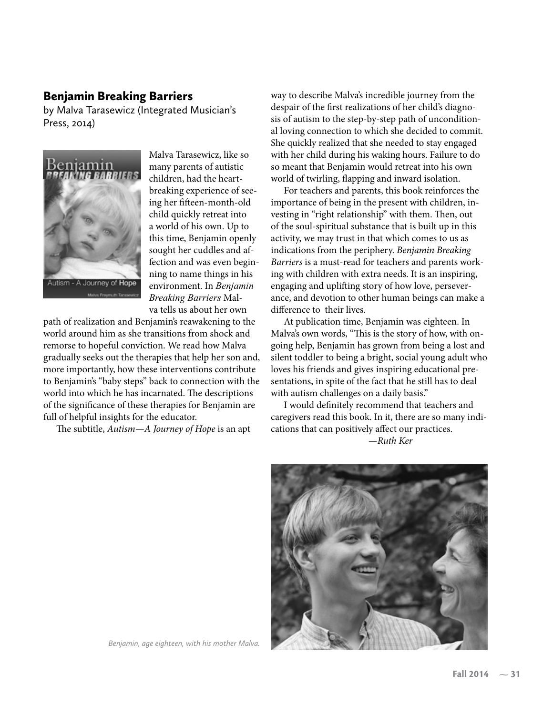#### Benjamin Breaking Barriers

by Malva Tarasewicz (Integrated Musician's Press, 2014)



Malva Tarasewicz, like so many parents of autistic children, had the heartbreaking experience of seeing her fifteen-month-old child quickly retreat into a world of his own. Up to this time, Benjamin openly sought her cuddles and affection and was even beginning to name things in his environment. In *Benjamin Breaking Barriers* Malva tells us about her own

path of realization and Benjamin's reawakening to the world around him as she transitions from shock and remorse to hopeful conviction. We read how Malva gradually seeks out the therapies that help her son and, more importantly, how these interventions contribute to Benjamin's "baby steps" back to connection with the world into which he has incarnated. The descriptions of the significance of these therapies for Benjamin are full of helpful insights for the educator.

The subtitle, *Autism—A Journey of Hope* is an apt

way to describe Malva's incredible journey from the despair of the first realizations of her child's diagnosis of autism to the step-by-step path of unconditional loving connection to which she decided to commit. She quickly realized that she needed to stay engaged with her child during his waking hours. Failure to do so meant that Benjamin would retreat into his own world of twirling, flapping and inward isolation.

For teachers and parents, this book reinforces the importance of being in the present with children, investing in "right relationship" with them. Then, out of the soul-spiritual substance that is built up in this activity, we may trust in that which comes to us as indications from the periphery. *Benjamin Breaking Barriers* is a must-read for teachers and parents working with children with extra needs. It is an inspiring, engaging and uplifting story of how love, perseverance, and devotion to other human beings can make a difference to their lives.

At publication time, Benjamin was eighteen. In Malva's own words, "This is the story of how, with ongoing help, Benjamin has grown from being a lost and silent toddler to being a bright, social young adult who loves his friends and gives inspiring educational presentations, in spite of the fact that he still has to deal with autism challenges on a daily basis."

I would definitely recommend that teachers and caregivers read this book. In it, there are so many indications that can positively affect our practices.  *—Ruth Ker*



*Benjamin, age eighteen, with his mother Malva.*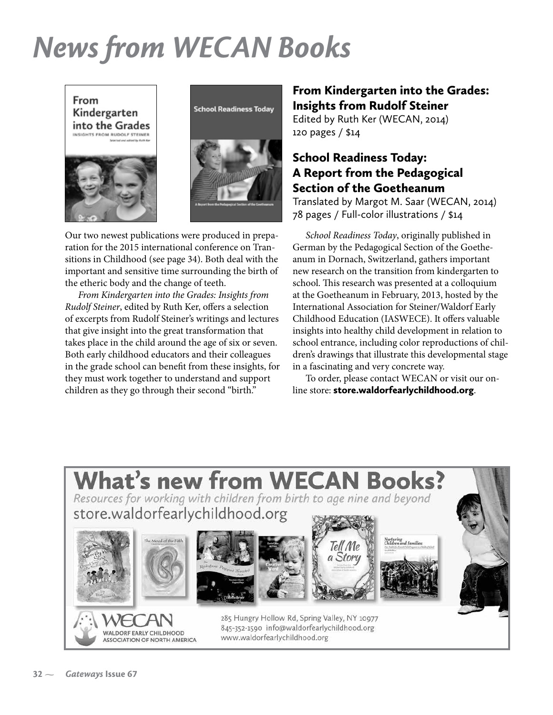# *News from WECAN Books*





Our two newest publications were produced in preparation for the 2015 international conference on Transitions in Childhood (see page 34). Both deal with the important and sensitive time surrounding the birth of the etheric body and the change of teeth.

*From Kindergarten into the Grades: Insights from Rudolf Steiner*, edited by Ruth Ker, offers a selection of excerpts from Rudolf Steiner's writings and lectures that give insight into the great transformation that takes place in the child around the age of six or seven. Both early childhood educators and their colleagues in the grade school can benefit from these insights, for they must work together to understand and support children as they go through their second "birth."

#### From Kindergarten into the Grades: Insights from Rudolf Steiner

Edited by Ruth Ker (WECAN, 2014) 120 pages / \$14

#### School Readiness Today: A Report from the Pedagogical Section of the Goetheanum

Translated by Margot M. Saar (WECAN, 2014) 78 pages / Full-color illustrations / \$14

*School Readiness Today*, originally published in German by the Pedagogical Section of the Goetheanum in Dornach, Switzerland, gathers important new research on the transition from kindergarten to school. This research was presented at a colloquium at the Goetheanum in February, 2013, hosted by the International Association for Steiner/Waldorf Early Childhood Education (IASWECE). It offers valuable insights into healthy child development in relation to school entrance, including color reproductions of children's drawings that illustrate this developmental stage in a fascinating and very concrete way.

To order, please contact WECAN or visit our online store: store.waldorfearlychildhood.org.

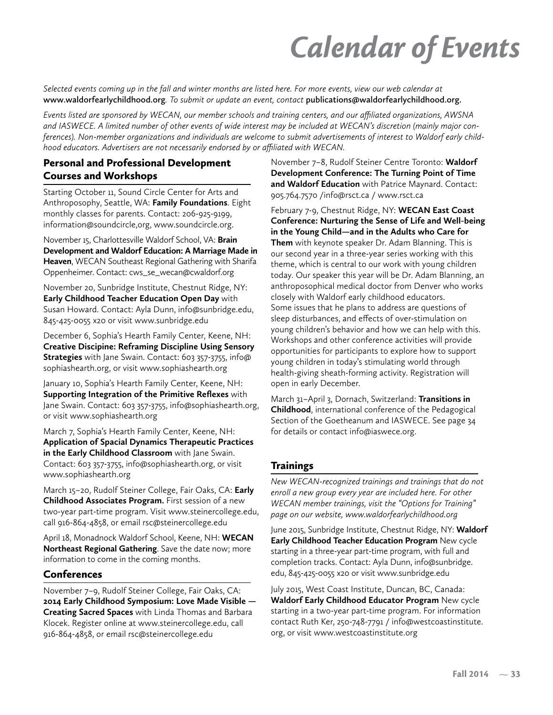# *Calendar of Events*

*Selected events coming up in the fall and winter months are listed here. For more events, view our web calendar at*  **www.waldorfearlychildhood.org***. To submit or update an event, contact* **publications@waldorfearlychildhood.org.** 

*Events listed are sponsored by WECAN, our member schools and training centers, and our affiliated organizations, AWSNA and IASWECE. A limited number of other events of wide interest may be included at WECAN's discretion (mainly major conferences). Non-member organizations and individuals are welcome to submit advertisements of interest to Waldorf early childhood educators. Advertisers are not necessarily endorsed by or affiliated with WECAN.*

#### Personal and Professional Development Courses and Workshops

Starting October 11, Sound Circle Center for Arts and Anthroposophy, Seattle, WA: **Family Foundations**. Eight monthly classes for parents. Contact: 206-925-9199, information@soundcircle,org, www.soundcircle.org.

November 15, Charlottesville Waldorf School, VA: **Brain Development and Waldorf Education: A Marriage Made in Heaven**, WECAN Southeast Regional Gathering with Sharifa Oppenheimer. Contact: cws\_se\_wecan@cwaldorf.org

November 20, Sunbridge Institute, Chestnut Ridge, NY: **Early Childhood Teacher Education Open Day** with Susan Howard. Contact: Ayla Dunn, info@sunbridge.edu, 845-425-0055 x20 or visit www.sunbridge.edu

December 6, Sophia's Hearth Family Center, Keene, NH: **Creative Discipine: Reframing Discipline Using Sensory Strategies** with Jane Swain. Contact: 603 357-3755, info@ sophiashearth.org, or visit www.sophiashearth.org

January 10, Sophia's Hearth Family Center, Keene, NH: **Supporting Integration of the Primitive Reflexes** with Jane Swain. Contact: 603 357-3755, info@sophiashearth.org, or visit www.sophiashearth.org

March 7, Sophia's Hearth Family Center, Keene, NH: **Application of Spacial Dynamics Therapeutic Practices in the Early Childhood Classroom** with Jane Swain. Contact: 603 357-3755, info@sophiashearth.org, or visit www.sophiashearth.org

March 15–20, Rudolf Steiner College, Fair Oaks, CA: **Early Childhood Associates Program.** First session of a new two-year part-time program. Visit www.steinercollege.edu, call 916-864-4858, or email rsc@steinercollege.edu

April 18, Monadnock Waldorf School, Keene, NH: **WECAN Northeast Regional Gathering**. Save the date now; more information to come in the coming months.

#### Conferences

November 7–9, Rudolf Steiner College, Fair Oaks, CA: **2014 Early Childhood Symposium: Love Made Visible — Creating Sacred Spaces** with Linda Thomas and Barbara Klocek. Register online at www.steinercollege.edu, call 916-864-4858, or email rsc@steinercollege.edu

November 7–8, Rudolf Steiner Centre Toronto: **Waldorf Development Conference: The Turning Point of Time and Waldorf Education** with Patrice Maynard. Contact: 905.764.7570 /info@rsct.ca / www.rsct.ca

February 7-9, Chestnut Ridge, NY: **WECAN East Coast Conference: Nurturing the Sense of Life and Well-being in the Young Child—and in the Adults who Care for Them** with keynote speaker Dr. Adam Blanning. This is our second year in a three-year series working with this theme, which is central to our work with young children today. Our speaker this year will be Dr. Adam Blanning, an anthroposophical medical doctor from Denver who works closely with Waldorf early childhood educators. Some issues that he plans to address are questions of sleep disturbances, and effects of over-stimulation on young children's behavior and how we can help with this. Workshops and other conference activities will provide opportunities for participants to explore how to support young children in today's stimulating world through health-giving sheath-forming activity. Registration will open in early December.

March 31–April 3, Dornach, Switzerland: **Transitions in Childhood**, international conference of the Pedagogical Section of the Goetheanum and IASWECE. See page 34 for details or contact info@iaswece.org.

#### **Trainings**

*New WECAN-recognized trainings and trainings that do not enroll a new group every year are included here. For other WECAN member trainings, visit the "Options for Training" page on our website, www.waldorfearlychildhood.org*

June 2015, Sunbridge Institute, Chestnut Ridge, NY: **Waldorf Early Childhood Teacher Education Program** New cycle starting in a three-year part-time program, with full and completion tracks. Contact: Ayla Dunn, info@sunbridge. edu, 845-425-0055 x20 or visit www.sunbridge.edu

July 2015, West Coast Institute, Duncan, BC, Canada: **Waldorf Early Childhood Educator Program** New cycle starting in a two-year part-time program. For information contact Ruth Ker, 250-748-7791 / info@westcoastinstitute. org, or visit www.westcoastinstitute.org